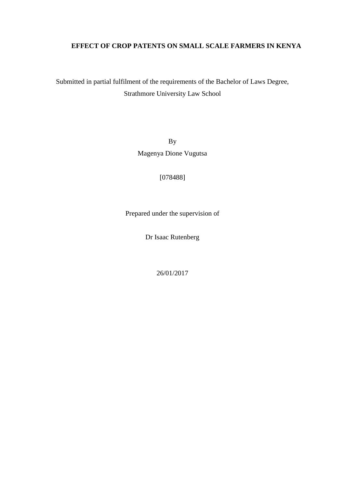# **EFFECT OF CROP PATENTS ON SMALL SCALE FARMERS IN KENYA**

Submitted in partial fulfilment of the requirements of the Bachelor of Laws Degree, Strathmore University Law School

> By Magenya Dione Vugutsa

> > [078488]

Prepared under the supervision of

Dr Isaac Rutenberg

26/01/2017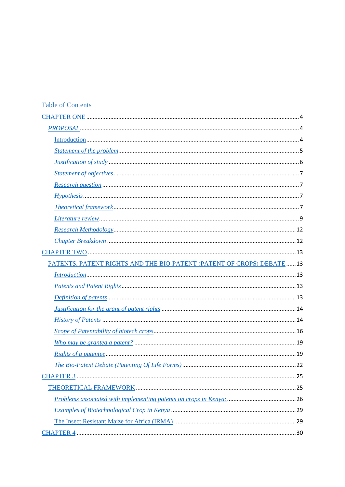# **Table of Contents**

| PATENTS, PATENT RIGHTS AND THE BIO-PATENT (PATENT OF CROPS) DEBATE  13 |
|------------------------------------------------------------------------|
|                                                                        |
|                                                                        |
|                                                                        |
|                                                                        |
|                                                                        |
|                                                                        |
|                                                                        |
|                                                                        |
|                                                                        |
|                                                                        |
|                                                                        |
|                                                                        |
|                                                                        |
|                                                                        |
|                                                                        |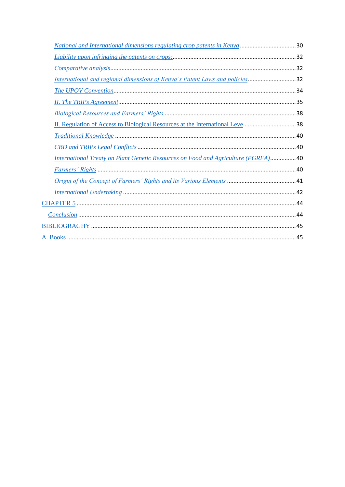| <u>National and International dimensions regulating crop patents in Kenya</u> 30          |  |
|-------------------------------------------------------------------------------------------|--|
|                                                                                           |  |
|                                                                                           |  |
| International and regional dimensions of Kenya's Patent Laws and policies32               |  |
|                                                                                           |  |
|                                                                                           |  |
|                                                                                           |  |
| II. Regulation of Access to Biological Resources at the International Leve38              |  |
|                                                                                           |  |
|                                                                                           |  |
| <b>International Treaty on Plant Genetic Resources on Food and Agriculture (PGRFA) 40</b> |  |
|                                                                                           |  |
|                                                                                           |  |
|                                                                                           |  |
|                                                                                           |  |
|                                                                                           |  |
|                                                                                           |  |
|                                                                                           |  |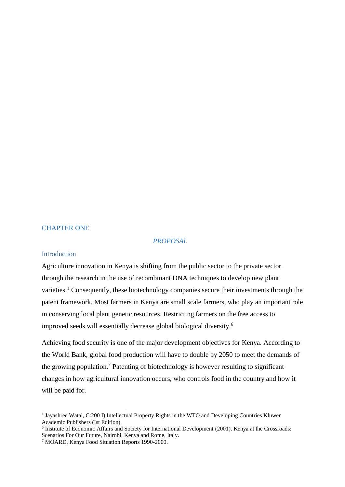### CHAPTER ONE

# *PROPOSAL*

#### **Introduction**

**.** 

Agriculture innovation in Kenya is shifting from the public sector to the private sector through the research in the use of recombinant DNA techniques to develop new plant varieties.<sup>1</sup> Consequently, these biotechnology companies secure their investments through the patent framework. Most farmers in Kenya are small scale farmers, who play an important role in conserving local plant genetic resources. Restricting farmers on the free access to improved seeds will essentially decrease global biological diversity. 6

Achieving food security is one of the major development objectives for Kenya. According to the World Bank, global food production will have to double by 2050 to meet the demands of the growing population.<sup>7</sup> Patenting of biotechnology is however resulting to significant changes in how agricultural innovation occurs, who controls food in the country and how it will be paid for.

<sup>&</sup>lt;sup>1</sup> Jayashree Watal, C:200 I) Intellectual Property Rights in the WTO and Developing Countries Kluwer Academic Publishers (Ist Edition)

<sup>&</sup>lt;sup>6</sup> Institute of Economic Affairs and Society for International Development (2001). Kenya at the Crossroads: Scenarios For Our Future, Nairobi, Kenya and Rome, Italy.

<sup>7</sup> MOARD, Kenya Food Situation Reports 1990-2000.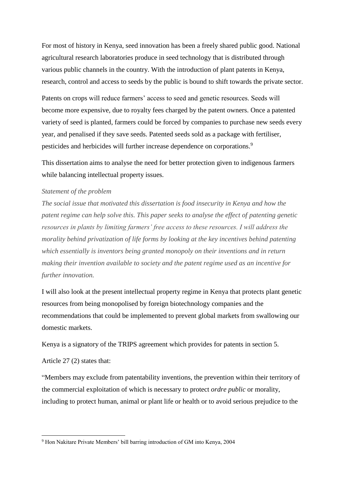For most of history in Kenya, seed innovation has been a freely shared public good. National agricultural research laboratories produce in seed technology that is distributed through various public channels in the country. With the introduction of plant patents in Kenya, research, control and access to seeds by the public is bound to shift towards the private sector.

Patents on crops will reduce farmers' access to seed and genetic resources. Seeds will become more expensive, due to royalty fees charged by the patent owners. Once a patented variety of seed is planted, farmers could be forced by companies to purchase new seeds every year, and penalised if they save seeds. Patented seeds sold as a package with fertiliser, pesticides and herbicides will further increase dependence on corporations.<sup>9</sup>

This dissertation aims to analyse the need for better protection given to indigenous farmers while balancing intellectual property issues.

#### *Statement of the problem*

*The social issue that motivated this dissertation is food insecurity in Kenya and how the patent regime can help solve this. This paper seeks to analyse the effect of patenting genetic resources in plants by limiting farmers' free access to these resources. I will address the morality behind privatization of life forms by looking at the key incentives behind patenting which essentially is inventors being granted monopoly on their inventions and in return making their invention available to society and the patent regime used as an incentive for further innovation.* 

I will also look at the present intellectual property regime in Kenya that protects plant genetic resources from being monopolised by foreign biotechnology companies and the recommendations that could be implemented to prevent global markets from swallowing our domestic markets.

Kenya is a signatory of the TRIPS agreement which provides for patents in section 5.

Article 27 (2) states that:

**.** 

"Members may exclude from patentability inventions, the prevention within their territory of the commercial exploitation of which is necessary to protect *ordre public* or morality, including to protect human, animal or plant life or health or to avoid serious prejudice to the

<sup>9</sup> Hon Nakitare Private Members' bill barring introduction of GM into Kenya, 2004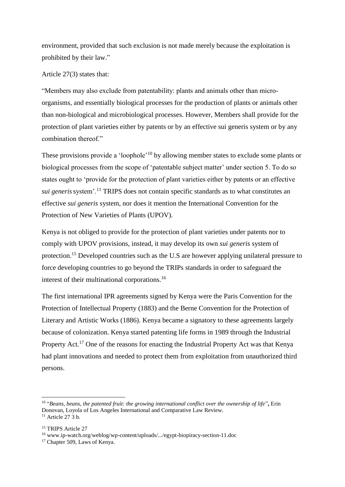environment, provided that such exclusion is not made merely because the exploitation is prohibited by their law."

Article 27(3) states that:

"Members may also exclude from patentability: plants and animals other than microorganisms, and essentially biological processes for the production of plants or animals other than non-biological and microbiological processes. However, Members shall provide for the protection of plant varieties either by patents or by an effective sui generis system or by any combination thereof."

These provisions provide a 'loophole'<sup>10</sup> by allowing member states to exclude some plants or biological processes from the scope of 'patentable subject matter' under section 5. To do so states ought to 'provide for the protection of plant varieties either by patents or an effective *sui generis*system'.<sup>11</sup> TRIPS does not contain specific standards as to what constitutes an effective *sui generis* system, nor does it mention the International Convention for the Protection of New Varieties of Plants (UPOV).

Kenya is not obliged to provide for the protection of plant varieties under patents nor to comply with UPOV provisions, instead, it may develop its own *sui generis* system of protection.<sup>15</sup> Developed countries such as the U.S are however applying unilateral pressure to force developing countries to go beyond the TRIPs standards in order to safeguard the interest of their multinational corporations.<sup>16</sup>

The first international IPR agreements signed by Kenya were the Paris Convention for the Protection of Intellectual Property (1883) and the Berne Convention for the Protection of Literary and Artistic Works (1886). Kenya became a signatory to these agreements largely because of colonization. Kenya started patenting life forms in 1989 through the Industrial Property Act.<sup>17</sup> One of the reasons for enacting the Industrial Property Act was that Kenya had plant innovations and needed to protect them from exploitation from unauthorized third persons.

<sup>10</sup> "*Beans, beans, the patented fruit: the growing international conflict over the ownership of life*"**,** Erin Donovan, Loyola of Los Angeles International and Comparative Law Review.  $11$  Article 27 3 b.

<sup>&</sup>lt;sup>15</sup> TRIPS Article 27

<sup>16</sup> www.ip-watch.org/weblog/wp-content/uploads/.../egypt-biopiracy-section-11.doc

<sup>&</sup>lt;sup>17</sup> Chapter 509, Laws of Kenya.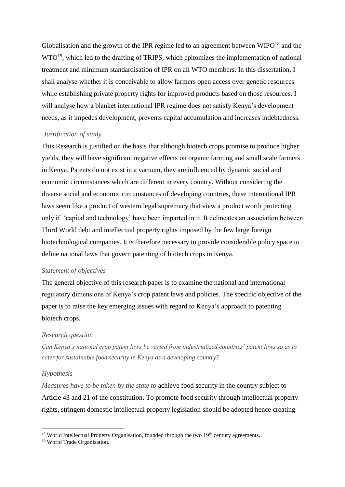Globalisation and the growth of the IPR regime led to an agreement between  $W I P O<sup>18</sup>$  and the WTO<sup>19</sup>, which led to the drafting of TRIPS, which epitomizes the implementation of national treatment and minimum standardisation of IPR on all WTO members. In this dissertation, I shall analyse whether it is conceivable to allow farmers open access over genetic resources while establishing private property rights for improved products based on those resources. I will analyse how a blanket international IPR regime does not satisfy Kenya's development needs, as it impedes development, prevents capital accumulation and increases indebtedness.

#### *Justification of study*

This Research is justified on the basis that although biotech crops promise to produce higher yields, they will have significant negative effects on organic farming and small scale farmers in Kenya. Patents do not exist in a vacuum, they are influenced by dynamic social and economic circumstances which are different in every country. Without considering the diverse social and economic circumstances of developing countries, these international IPR laws seem like a product of western legal supremacy that view a product worth protecting only if 'capital and technology' have been imparted in it. It delineates an association between Third World debt and intellectual property rights imposed by the few large foreign biotechnological companies. It is therefore necessary to provide considerable policy space to define national laws that govern patenting of biotech crops in Kenya.

### *Statement of objectives*

The general objective of this research paper is to examine the national and international regulatory dimensions of Kenya's crop patent laws and policies. The specific objective of the paper is to raise the key emerging issues with regard to Kenya's approach to patenting biotech crops.

### *Research question*

*Can Kenya's national crop patent laws be varied from industrialized countries' patent laws so as to cater for sustainable food security in Kenya as a developing country?* 

### *Hypothesis*

**.** 

*Measures have to be taken by the state to* achieve food security in the country subject to Article 43 and 21 of the constitution. To promote food security through intellectual property rights, stringent domestic intellectual property legislation should be adopted hence creating

 $18$  World Intellectual Property Organisation, founded through the two  $19<sup>th</sup>$  century agreements.

<sup>19</sup> World Trade Organisation.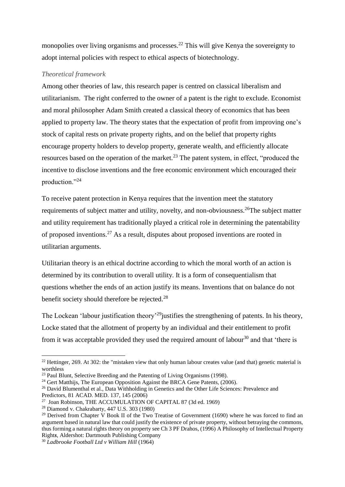monopolies over living organisms and processes.<sup>22</sup> This will give Kenya the sovereignty to adopt internal policies with respect to ethical aspects of biotechnology.

# *Theoretical framework*

Among other theories of law, this research paper is centred on classical liberalism and utilitarianism. The right conferred to the owner of a patent is the right to exclude. Economist and moral philosopher Adam Smith created a classical theory of economics that has been applied to property law. The theory states that the expectation of profit from improving one's stock of capital rests on private property rights, and on the belief that property rights encourage property holders to develop property, generate wealth, and efficiently allocate resources based on the operation of the market.<sup>23</sup> The patent system, in effect, "produced the incentive to disclose inventions and the free economic environment which encouraged their production."<sup>24</sup>

To receive patent protection in Kenya requires that the invention meet the statutory requirements of subject matter and utility, novelty, and non-obviousness.<sup>26</sup>The subject matter and utility requirement has traditionally played a critical role in determining the patentability of proposed inventions.<sup>27</sup> As a result, disputes about proposed inventions are rooted in utilitarian arguments.

Utilitarian theory is an ethical doctrine according to which the moral worth of an action is determined by its contribution to overall utility. It is a form of consequentialism that questions whether the ends of an action justify its means. Inventions that on balance do not benefit society should therefore be rejected.<sup>28</sup>

The Lockean 'labour justification theory'<sup>29</sup> justifies the strengthening of patents. In his theory, Locke stated that the allotment of property by an individual and their entitlement to profit from it was acceptable provided they used the required amount of labour<sup>30</sup> and that 'there is

 $\overline{a}$ 

<sup>&</sup>lt;sup>22</sup> Hettinger, 269. At 302: the "mistaken view that only human labour creates value (and that) genetic material is worthless

 $23$  Paul Blunt, Selective Breeding and the Patenting of Living Organisms (1998).

<sup>&</sup>lt;sup>24</sup> Gert Matthijs, The European Opposition Against the BRCA Gene Patents,  $(2006)$ .

<sup>&</sup>lt;sup>26</sup> David Blumenthal et al., Data Withholding in Genetics and the Other Life Sciences: Prevalence and Predictors, 81 ACAD. MED. 137, 145 (2006)

<sup>27</sup> Joan Robinson, THE ACCUMULATION OF CAPITAL 87 (3d ed. 1969)

<sup>28</sup> Diamond v. Chakrabarty, 447 U.S. 303 (1980)

<sup>&</sup>lt;sup>29</sup> Derived from Chapter V Book II of the Two Treatise of Government (1690) where he was forced to find an argument based in natural law that could justify the existence of private property, without betraying the commons, thus forming a natural rights theory on property see Ch 3 PF Drahos, (1996) A Philosophy of Intellectual Property Right*s*, Aldershot: Dartmouth Publishing Company

<sup>30</sup> *Ladbrooke Football Ltd v William Hill* (1964)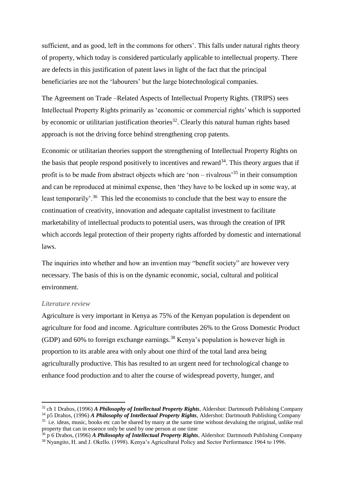sufficient, and as good, left in the commons for others'. This falls under natural rights theory of property, which today is considered particularly applicable to intellectual property. There are defects in this justification of patent laws in light of the fact that the principal beneficiaries are not the 'labourers' but the large biotechnological companies.

The Agreement on Trade –Related Aspects of Intellectual Property Rights. (TRIPS) sees Intellectual Property Rights primarily as 'economic or commercial rights' which is supported by economic or utilitarian justification theories<sup>32</sup>. Clearly this natural human rights based approach is not the driving force behind strengthening crop patents.

Economic or utilitarian theories support the strengthening of Intellectual Property Rights on the basis that people respond positively to incentives and reward<sup>34</sup>. This theory argues that if profit is to be made from abstract objects which are 'non – rivalrous'<sup>35</sup> in their consumption and can be reproduced at minimal expense, then 'they have to be locked up in some way, at least temporarily'.<sup>36</sup> This led the economists to conclude that the best way to ensure the continuation of creativity, innovation and adequate capitalist investment to facilitate marketability of intellectual products to potential users, was through the creation of IPR which accords legal protection of their property rights afforded by domestic and international laws.

The inquiries into whether and how an invention may "benefit society" are however very necessary. The basis of this is on the dynamic economic, social, cultural and political environment.

### *Literature review*

1

Agriculture is very important in Kenya as 75% of the Kenyan population is dependent on agriculture for food and income. Agriculture contributes 26% to the Gross Domestic Product (GDP) and 60% to foreign exchange earnings.<sup>38</sup> Kenya's population is however high in proportion to its arable area with only about one third of the total land area being agriculturally productive. This has resulted to an urgent need for technological change to enhance food production and to alter the course of widespread poverty, hunger, and

<sup>32</sup> ch 1 Drahos, (1996) *A Philosophy of Intellectual Property Rights*, Aldershot: Dartmouth Publishing Company

<sup>34</sup> p5 Drahos, (1996) *A Philosophy of Intellectual Property Rights*, Aldershot: Dartmouth Publishing Company <sup>35</sup> i.e. ideas, music, books etc can be shared by many at the same time without devaluing the original, unlike real

property that can in essence only be used by one person at one time <sup>36</sup> p 6 Drahos, (1996) *A Philosophy of Intellectual Property Rights*, Aldershot: Dartmouth Publishing Company

<sup>38</sup> Nyangito, H. and J. Okello. (1998). Kenya's Agricultural Policy and Sector Performance 1964 to 1996.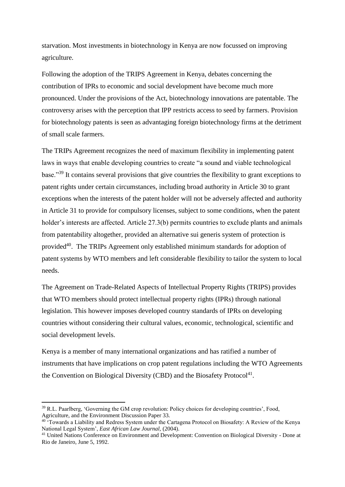starvation. Most investments in biotechnology in Kenya are now focussed on improving agriculture.

Following the adoption of the TRIPS Agreement in Kenya, debates concerning the contribution of IPRs to economic and social development have become much more pronounced. Under the provisions of the Act, biotechnology innovations are patentable. The controversy arises with the perception that IPP restricts access to seed by farmers. Provision for biotechnology patents is seen as advantaging foreign biotechnology firms at the detriment of small scale farmers.

The TRIPs Agreement recognizes the need of maximum flexibility in implementing patent laws in ways that enable developing countries to create "a sound and viable technological base."<sup>39</sup> It contains several provisions that give countries the flexibility to grant exceptions to patent rights under certain circumstances, including broad authority in Article 30 to grant exceptions when the interests of the patent holder will not be adversely affected and authority in Article 31 to provide for compulsory licenses, subject to some conditions, when the patent holder's interests are affected. Article 27.3(b) permits countries to exclude plants and animals from patentability altogether, provided an alternative sui generis system of protection is provided<sup>40</sup>. The TRIPs Agreement only established minimum standards for adoption of patent systems by WTO members and left considerable flexibility to tailor the system to local needs.

The Agreement on Trade-Related Aspects of Intellectual Property Rights (TRIPS) provides that WTO members should protect intellectual property rights (IPRs) through national legislation. This however imposes developed country standards of IPRs on developing countries without considering their cultural values, economic, technological, scientific and social development levels.

Kenya is a member of many international organizations and has ratified a number of instruments that have implications on crop patent regulations including the WTO Agreements the Convention on Biological Diversity (CBD) and the Biosafety Protocol<sup>41</sup>.

1

<sup>39</sup> R.L. Paarlberg, 'Governing the GM crop revolution: Policy choices for developing countries', Food, Agriculture, and the Environment Discussion Paper 33.

<sup>&</sup>lt;sup>40 \*</sup>Towards a Liability and Redress System under the Cartagena Protocol on Biosafety: A Review of the Kenya National Legal System', *East African Law Journal,* (2004).

<sup>41</sup> United Nations Conference on Environment and Development: Convention on Biological Diversity - Done at Rio de Janeiro, June 5, 1992.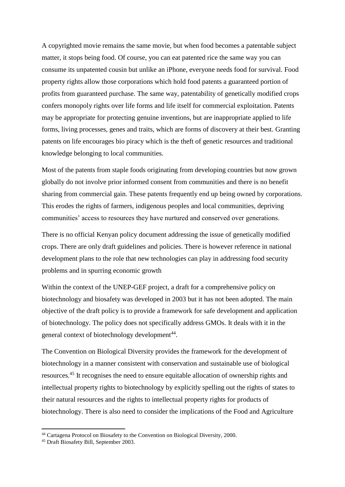A copyrighted movie remains the same movie, but when food becomes a patentable subject matter, it stops being food. Of course, you can eat patented rice the same way you can consume its unpatented cousin but unlike an iPhone, everyone needs food for survival. Food property rights allow those corporations which hold food patents a guaranteed portion of profits from guaranteed purchase. The same way, patentability of genetically modified crops confers monopoly rights over life forms and life itself for commercial exploitation. Patents may be appropriate for protecting genuine inventions, but are inappropriate applied to life forms, living processes, genes and traits, which are forms of discovery at their best. Granting patents on life encourages bio piracy which is the theft of genetic resources and traditional knowledge belonging to local communities.

Most of the patents from staple foods originating from developing countries but now grown globally do not involve prior informed consent from communities and there is no benefit sharing from commercial gain. These patents frequently end up being owned by corporations. This erodes the rights of farmers, indigenous peoples and local communities, depriving communities' access to resources they have nurtured and conserved over generations.

There is no official Kenyan policy document addressing the issue of genetically modified crops. There are only draft guidelines and policies. There is however reference in national development plans to the role that new technologies can play in addressing food security problems and in spurring economic growth

Within the context of the UNEP-GEF project, a draft for a comprehensive policy on biotechnology and biosafety was developed in 2003 but it has not been adopted. The main objective of the draft policy is to provide a framework for safe development and application of biotechnology. The policy does not specifically address GMOs. It deals with it in the general context of biotechnology development<sup>44</sup>.

The Convention on Biological Diversity provides the framework for the development of biotechnology in a manner consistent with conservation and sustainable use of biological resources.<sup>45</sup> It recognises the need to ensure equitable allocation of ownership rights and intellectual property rights to biotechnology by explicitly spelling out the rights of states to their natural resources and the rights to intellectual property rights for products of biotechnology. There is also need to consider the implications of the Food and Agriculture

<sup>44</sup> Cartagena Protocol on Biosafety to the Convention on Biological Diversity, 2000.

<sup>45</sup> Draft Biosafety Bill, September 2003.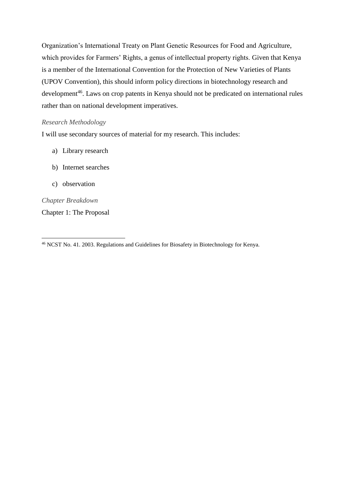Organization's International Treaty on Plant Genetic Resources for Food and Agriculture, which provides for Farmers' Rights, a genus of intellectual property rights. Given that Kenya is a member of the International Convention for the Protection of New Varieties of Plants (UPOV Convention), this should inform policy directions in biotechnology research and development<sup>46</sup>. Laws on crop patents in Kenya should not be predicated on international rules rather than on national development imperatives.

### *Research Methodology*

I will use secondary sources of material for my research. This includes:

- a) Library research
- b) Internet searches
- c) observation

*Chapter Breakdown* 

Chapter 1: The Proposal

**<sup>.</sup>** <sup>46</sup> NCST No. 41. 2003. Regulations and Guidelines for Biosafety in Biotechnology for Kenya.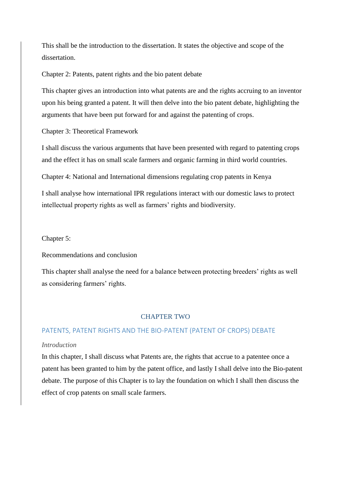This shall be the introduction to the dissertation. It states the objective and scope of the dissertation.

Chapter 2: Patents, patent rights and the bio patent debate

This chapter gives an introduction into what patents are and the rights accruing to an inventor upon his being granted a patent. It will then delve into the bio patent debate, highlighting the arguments that have been put forward for and against the patenting of crops.

Chapter 3: Theoretical Framework

I shall discuss the various arguments that have been presented with regard to patenting crops and the effect it has on small scale farmers and organic farming in third world countries.

Chapter 4: National and International dimensions regulating crop patents in Kenya

I shall analyse how international IPR regulations interact with our domestic laws to protect intellectual property rights as well as farmers' rights and biodiversity.

Chapter 5:

Recommendations and conclusion

This chapter shall analyse the need for a balance between protecting breeders' rights as well as considering farmers' rights.

### CHAPTER TWO

#### PATENTS, PATENT RIGHTS AND THE BIO-PATENT (PATENT OF CROPS) DEBATE

## *Introduction*

In this chapter, I shall discuss what Patents are, the rights that accrue to a patentee once a patent has been granted to him by the patent office, and lastly I shall delve into the Bio-patent debate. The purpose of this Chapter is to lay the foundation on which I shall then discuss the effect of crop patents on small scale farmers.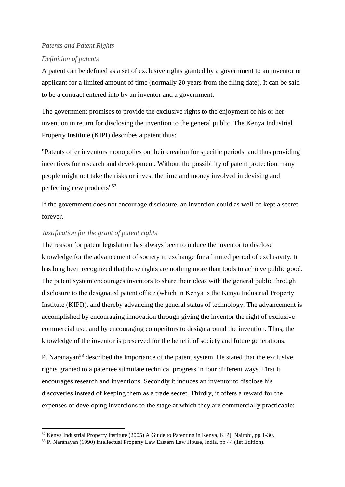# *Patents and Patent Rights*

### *Definition of patents*

A patent can be defined as a set of exclusive rights granted by a government to an inventor or applicant for a limited amount of time (normally 20 years from the filing date). It can be said to be a contract entered into by an inventor and a government.

The government promises to provide the exclusive rights to the enjoyment of his or her invention in return for disclosing the invention to the general public. The Kenya Industrial Property Institute (KIPI) describes a patent thus:

"Patents offer inventors monopolies on their creation for specific periods, and thus providing incentives for research and development. Without the possibility of patent protection many people might not take the risks or invest the time and money involved in devising and perfecting new products"<sup>52</sup>

If the government does not encourage disclosure, an invention could as well be kept a secret forever.

### *Justification for the grant of patent rights*

**.** 

The reason for patent legislation has always been to induce the inventor to disclose knowledge for the advancement of society in exchange for a limited period of exclusivity. It has long been recognized that these rights are nothing more than tools to achieve public good. The patent system encourages inventors to share their ideas with the general public through disclosure to the designated patent office (which in Kenya is the Kenya Industrial Property Institute (KIPI)), and thereby advancing the general status of technology. The advancement is accomplished by encouraging innovation through giving the inventor the right of exclusive commercial use, and by encouraging competitors to design around the invention. Thus, the knowledge of the inventor is preserved for the benefit of society and future generations.

P. Naranayan<sup>53</sup> described the importance of the patent system. He stated that the exclusive rights granted to a patentee stimulate technical progress in four different ways. First it encourages research and inventions. Secondly it induces an inventor to disclose his discoveries instead of keeping them as a trade secret. Thirdly, it offers a reward for the expenses of developing inventions to the stage at which they are commercially practicable:

<sup>52</sup> Kenya Industrial Property Institute (2005) A Guide to Patenting in Kenya, KIP], Nairobi, pp 1-30.

<sup>53</sup> P. Naranayan (1990) intellectual Property Law Eastern Law House, India, pp 44 (1st Edition).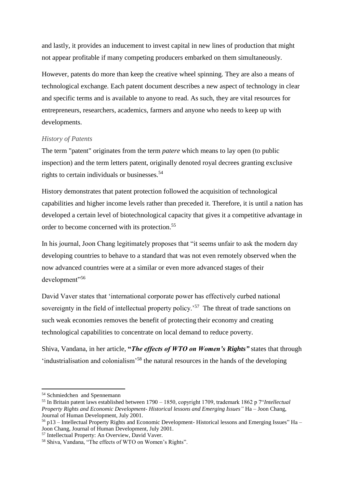and lastly, it provides an inducement to invest capital in new lines of production that might not appear profitable if many competing producers embarked on them simultaneously.

However, patents do more than keep the creative wheel spinning. They are also a means of technological exchange. Each patent document describes a new aspect of technology in clear and specific terms and is available to anyone to read. As such, they are vital resources for entrepreneurs, researchers, academics, farmers and anyone who needs to keep up with developments.

# *History of Patents*

The term "patent" originates from the term *patere* which means to lay open (to public inspection) and the term letters patent, originally denoted royal decrees granting exclusive rights to certain individuals or businesses.<sup>54</sup>

History demonstrates that patent protection followed the acquisition of technological capabilities and higher income levels rather than preceded it. Therefore, it is until a nation has developed a certain level of biotechnological capacity that gives it a competitive advantage in order to become concerned with its protection.<sup>55</sup>

In his journal, Joon Chang legitimately proposes that "it seems unfair to ask the modern day developing countries to behave to a standard that was not even remotely observed when the now advanced countries were at a similar or even more advanced stages of their development"<sup>56</sup>

David Vaver states that 'international corporate power has effectively curbed national sovereignty in the field of intellectual property policy.<sup>57</sup> The threat of trade sanctions on such weak economies removes the benefit of protecting their economy and creating technological capabilities to concentrate on local demand to reduce poverty.

Shiva, Vandana, in her article, **"***The effects of WTO on Women's Rights"* states that through 'industrialisation and colonialism'<sup>58</sup> the natural resources in the hands of the developing

<sup>54</sup> Schmiedchen and Spennemann

<sup>55</sup> In Britain patent laws established between 1790 – 1850, copyright 1709, trademark 1862 p 7"*Intellectual Property Rights and Economic Development- Historical lessons and Emerging Issues"* Ha – Joon Chang, Journal of Human Development, July 2001.

 $56$  p13 – Intellectual Property Rights and Economic Development-Historical lessons and Emerging Issues" Ha Joon Chang, Journal of Human Development, July 2001.

<sup>57</sup> Intellectual Property: An Overview, David Vaver.

<sup>58</sup> Shiva, Vandana, "The effects of WTO on Women's Rights".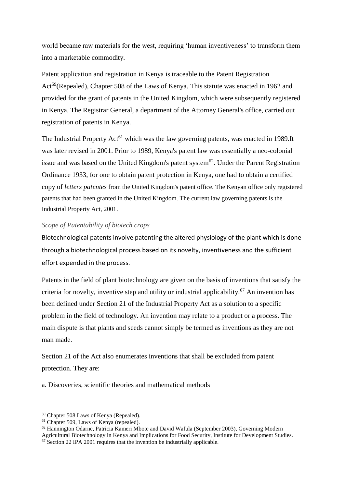world became raw materials for the west, requiring 'human inventiveness' to transform them into a marketable commodity.

Patent application and registration in Kenya is traceable to the Patent Registration Act<sup>59</sup>(Repealed), Chapter 508 of the Laws of Kenya. This statute was enacted in 1962 and provided for the grant of patents in the United Kingdom, which were subsequently registered in Kenya. The Registrar General, a department of the Attorney General's office, carried out registration of patents in Kenya.

The Industrial Property Act<sup>61</sup> which was the law governing patents, was enacted in 1989.It was later revised in 2001. Prior to 1989, Kenya's patent law was essentially a neo-colonial issue and was based on the United Kingdom's patent system<sup>62</sup>. Under the Parent Registration Ordinance 1933, for one to obtain patent protection in Kenya, one had to obtain a certified copy of *letters patentes* from the United Kingdom's patent office. The Kenyan office only registered patents that had been granted in the United Kingdom. The current law governing patents is the Industrial Property Act, 2001.

# *Scope of Patentability of biotech crops*

Biotechnological patents involve patenting the altered physiology of the plant which is done through a biotechnological process based on its novelty, inventiveness and the sufficient effort expended in the process.

Patents in the field of plant biotechnology are given on the basis of inventions that satisfy the criteria for novelty, inventive step and utility or industrial applicability.<sup>67</sup> An invention has been defined under Section 21 of the Industrial Property Act as a solution to a specific problem in the field of technology. An invention may relate to a product or a process. The main dispute is that plants and seeds cannot simply be termed as inventions as they are not man made.

Section 21 of the Act also enumerates inventions that shall be excluded from patent protection. They are:

a. Discoveries, scientific theories and mathematical methods

**.** 

Agricultural Biotechnology ln Kenya and Implications for Food Security, Institute for Development Studies.

<sup>59</sup> Chapter 508 Laws of Kenya (Repealed).

<sup>&</sup>lt;sup>61</sup> Chapter 509, Laws of Kenya (repealed).

<sup>62</sup> Hannington Odarne, Patricia Kameri Mbote and David Wafula (September 2003), Governing Modern

<sup>&</sup>lt;sup>67</sup> Section 22 IPA 2001 requires that the invention be industrially applicable.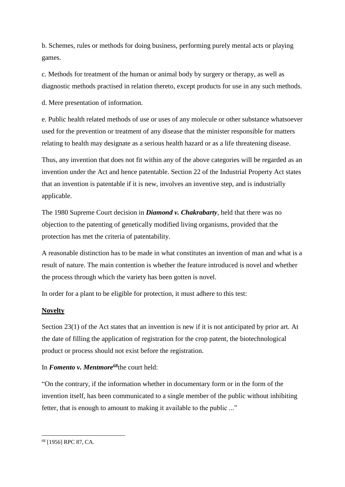b. Schemes, rules or methods for doing business, performing purely mental acts or playing games.

c. Methods for treatment of the human or animal body by surgery or therapy, as well as diagnostic methods practised in relation thereto, except products for use in any such methods.

d. Mere presentation of information.

e. Public health related methods of use or uses of any molecule or other substance whatsoever used for the prevention or treatment of any disease that the minister responsible for matters relating to health may designate as a serious health hazard or as a life threatening disease.

Thus, any invention that does not fit within any of the above categories will be regarded as an invention under the Act and hence patentable. Section 22 of the Industrial Property Act states that an invention is patentable if it is new, involves an inventive step, and is industrially applicable.

The 1980 Supreme Court decision in *Diamond v. Chakrabarty*, held that there was no objection to the patenting of genetically modified living organisms, provided that the protection has met the criteria of patentability.

A reasonable distinction has to be made in what constitutes an invention of man and what is a result of nature. The main contention is whether the feature introduced is novel and whether the process through which the variety has been gotten is novel.

In order for a plant to be eligible for protection, it must adhere to this test:

# **Novelty**

Section 23(1) of the Act states that an invention is new if it is not anticipated by prior art. At the date of filling the application of registration for the crop patent, the biotechnological product or process should not exist before the registration.

# In *Fomento v. Mentmore<sup>68</sup>*the court held:

"On the contrary, if the information whether in documentary form or in the form of the invention itself, has been communicated to a single member of the public without inhibiting fetter, that is enough to amount to making it available to the public ..."

**<sup>.</sup>** <sup>68</sup> [1956] RPC 87, CA.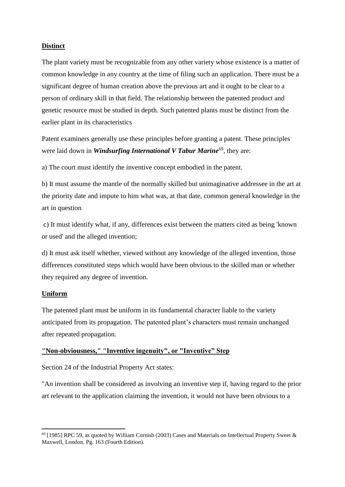# **Distinct**

The plant variety must be recognizable from any other variety whose existence is a matter of common knowledge in any country at the time of filing such an application. There must be a significant degree of human creation above the previous art and it ought to be clear to a person of ordinary skill in that field. The relationship between the patented product and genetic resource must be studied in depth. Such patented plants must be distinct from the earlier plant in its characteristics

Patent examiners generally use these principles before granting a patent. These principles were laid down in *Windsurfing International V Tabur Marine*<sup>69</sup>, they are:

a) The court must identify the inventive concept embodied in the patent.

b) It must assume the mantle of the normally skilled but unimaginative addressee in the art at the priority date and impute to him what was, at that date, common general knowledge in the art in question

c) It must identify what, if any, differences exist between the matters cited as being 'known or used' and the alleged invention;

d) It must ask itself whether, viewed without any knowledge of the alleged invention, those differences constituted steps which would have been obvious to the skilled man or whether they required any degree of invention.

# **Uniform**

The patented plant must be uniform in its fundamental character liable to the variety anticipated from its propagation. The patented plant's characters must remain unchanged after repeated propagation.

# **"Non-obviousness," "Inventive ingenuity", or "Inventive" Step**

Section 24 of the Industrial Property Act states:

"An invention shall be considered as involving an inventive step if, having regard to the prior art relevant to the application claiming the invention, it would not have been obvious to a

**<sup>.</sup>**  $^{69}$  [1985] RPC 59, as quoted by William Cornish (2003) Cases and Materials on Intellectual Property Sweet & Maxwell, London. Pg. 163 (Fourth Edition).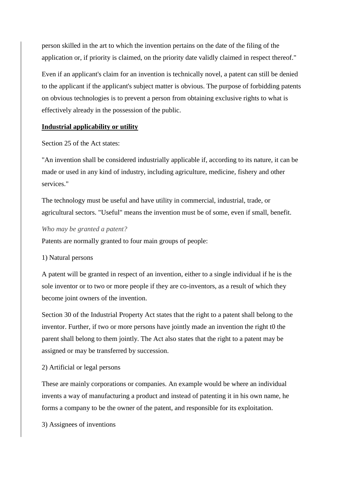person skilled in the art to which the invention pertains on the date of the filing of the application or, if priority is claimed, on the priority date validly claimed in respect thereof."

Even if an applicant's claim for an invention is technically novel, a patent can still be denied to the applicant if the applicant's subject matter is obvious. The purpose of forbidding patents on obvious technologies is to prevent a person from obtaining exclusive rights to what is effectively already in the possession of the public.

# **Industrial applicability or utility**

Section 25 of the Act states:

"An invention shall be considered industrially applicable if, according to its nature, it can be made or used in any kind of industry, including agriculture, medicine, fishery and other services."

The technology must be useful and have utility in commercial, industrial, trade, or agricultural sectors. "Useful" means the invention must be of some, even if small, benefit.

### *Who may be granted a patent?*

Patents are normally granted to four main groups of people:

# 1) Natural persons

A patent will be granted in respect of an invention, either to a single individual if he is the sole inventor or to two or more people if they are co-inventors, as a result of which they become joint owners of the invention.

Section 30 of the Industrial Property Act states that the right to a patent shall belong to the inventor. Further, if two or more persons have jointly made an invention the right t0 the parent shall belong to them jointly. The Act also states that the right to a patent may be assigned or may be transferred by succession.

# 2) Artificial or legal persons

These are mainly corporations or companies. An example would be where an individual invents a way of manufacturing a product and instead of patenting it in his own name, he forms a company to be the owner of the patent, and responsible for its exploitation.

3) Assignees of inventions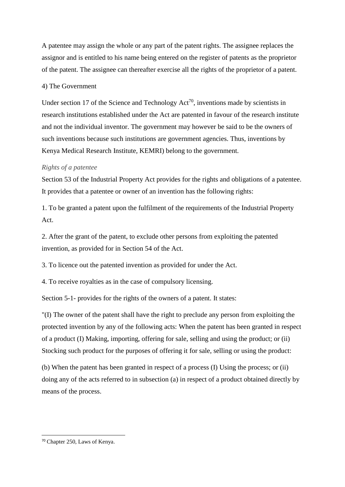A patentee may assign the whole or any part of the patent rights. The assignee replaces the assignor and is entitled to his name being entered on the register of patents as the proprietor of the patent. The assignee can thereafter exercise all the rights of the proprietor of a patent.

### 4) The Government

Under section 17 of the Science and Technology  $Act^{70}$ , inventions made by scientists in research institutions established under the Act are patented in favour of the research institute and not the individual inventor. The government may however be said to be the owners of such inventions because such institutions are government agencies. Thus, inventions by Kenya Medical Research Institute, KEMRI) belong to the government.

### *Rights of a patentee*

Section 53 of the Industrial Property Act provides for the rights and obligations of a patentee. It provides that a patentee or owner of an invention has the following rights:

1. To be granted a patent upon the fulfilment of the requirements of the Industrial Property Act.

2. After the grant of the patent, to exclude other persons from exploiting the patented invention, as provided for in Section 54 of the Act.

3. To licence out the patented invention as provided for under the Act.

4. To receive royalties as in the case of compulsory licensing.

Section 5-1- provides for the rights of the owners of a patent. It states:

"(I) The owner of the patent shall have the right to preclude any person from exploiting the protected invention by any of the following acts: When the patent has been granted in respect of a product (I) Making, importing, offering for sale, selling and using the product; or (ii) Stocking such product for the purposes of offering it for sale, selling or using the product:

(b) When the patent has been granted in respect of a process (I) Using the process; or (ii) doing any of the acts referred to in subsection (a) in respect of a product obtained directly by means of the process.

<sup>70</sup> Chapter 250, Laws of Kenya.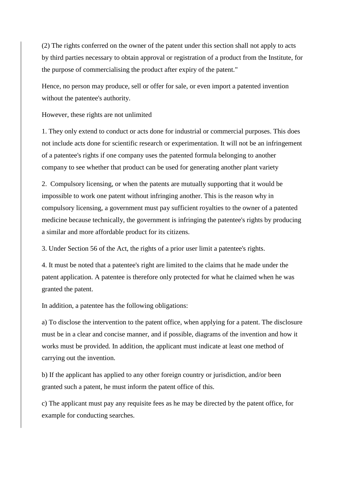(2) The rights conferred on the owner of the patent under this section shall not apply to acts by third parties necessary to obtain approval or registration of a product from the Institute, for the purpose of commercialising the product after expiry of the patent."

Hence, no person may produce, sell or offer for sale, or even import a patented invention without the patentee's authority.

However, these rights are not unlimited

1. They only extend to conduct or acts done for industrial or commercial purposes. This does not include acts done for scientific research or experimentation. It will not be an infringement of a patentee's rights if one company uses the patented formula belonging to another company to see whether that product can be used for generating another plant variety

2. Compulsory licensing, or when the patents are mutually supporting that it would be impossible to work one patent without infringing another. This is the reason why in compulsory licensing, a government must pay sufficient royalties to the owner of a patented medicine because technically, the government is infringing the patentee's rights by producing a similar and more affordable product for its citizens.

3. Under Section 56 of the Act, the rights of a prior user limit a patentee's rights.

4. It must be noted that a patentee's right are limited to the claims that he made under the patent application. A patentee is therefore only protected for what he claimed when he was granted the patent.

In addition, a patentee has the following obligations:

a) To disclose the intervention to the patent office, when applying for a patent. The disclosure must be in a clear and concise manner, and if possible, diagrams of the invention and how it works must be provided. In addition, the applicant must indicate at least one method of carrying out the invention.

b) If the applicant has applied to any other foreign country or jurisdiction, and/or been granted such a patent, he must inform the patent office of this.

c) The applicant must pay any requisite fees as he may be directed by the patent office, for example for conducting searches.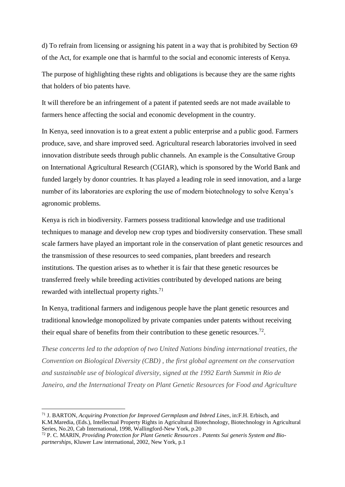d) To refrain from licensing or assigning his patent in a way that is prohibited by Section 69 of the Act, for example one that is harmful to the social and economic interests of Kenya.

The purpose of highlighting these rights and obligations is because they are the same rights that holders of bio patents have.

It will therefore be an infringement of a patent if patented seeds are not made available to farmers hence affecting the social and economic development in the country.

In Kenya, seed innovation is to a great extent a public enterprise and a public good. Farmers produce, save, and share improved seed. Agricultural research laboratories involved in seed innovation distribute seeds through public channels. An example is the Consultative Group on International Agricultural Research (CGIAR), which is sponsored by the World Bank and funded largely by donor countries. It has played a leading role in seed innovation, and a large number of its laboratories are exploring the use of modern biotechnology to solve Kenya's agronomic problems.

Kenya is rich in biodiversity. Farmers possess traditional knowledge and use traditional techniques to manage and develop new crop types and biodiversity conservation. These small scale farmers have played an important role in the conservation of plant genetic resources and the transmission of these resources to seed companies, plant breeders and research institutions. The question arises as to whether it is fair that these genetic resources be transferred freely while breeding activities contributed by developed nations are being rewarded with intellectual property rights.<sup>71</sup>

In Kenya, traditional farmers and indigenous people have the plant genetic resources and traditional knowledge monopolized by private companies under patents without receiving their equal share of benefits from their contribution to these genetic resources.<sup>72</sup>.

*These concerns led to the adoption of two United Nations binding international treaties, the Convention on Biological Diversity (CBD) , the first global agreement on the conservation and sustainable use of biological diversity, signed at the 1992 Earth Summit in Rio de Janeiro, and the International Treaty on Plant Genetic Resources for Food and Agriculture* 

<sup>71</sup> J. BARTON, *Acquiring Protection for Improved Germplasm and Inbred Lines*, in:F.H. Erbisch, and K.M.Maredia, (Eds.), Intellectual Property Rights in Agricultural Biotechnology, Biotechnology in Agricultural Series, No.20, Cab International, 1998, Wallingford-New York, p.20

<sup>72</sup> P. C. MARIN*, Providing Protection for Plant Genetic Resources . Patents Sui generis System and Biopartnerships*, Kluwer Law international, 2002, New York, p.1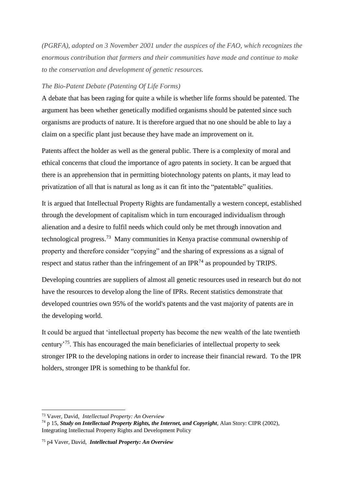*(PGRFA), adopted on 3 November 2001 under the auspices of the FAO, which recognizes the enormous contribution that farmers and their communities have made and continue to make to the conservation and development of genetic resources.*

### *The Bio-Patent Debate (Patenting Of Life Forms)*

A debate that has been raging for quite a while is whether life forms should be patented. The argument has been whether genetically modified organisms should be patented since such organisms are products of nature. It is therefore argued that no one should be able to lay a claim on a specific plant just because they have made an improvement on it.

Patents affect the holder as well as the general public. There is a complexity of moral and ethical concerns that cloud the importance of agro patents in society. It can be argued that there is an apprehension that in permitting biotechnology patents on plants, it may lead to privatization of all that is natural as long as it can fit into the "patentable" qualities.

It is argued that Intellectual Property Rights are fundamentally a western concept, established through the development of capitalism which in turn encouraged individualism through alienation and a desire to fulfil needs which could only be met through innovation and technological progress.<sup>73</sup> Many communities in Kenya practise communal ownership of property and therefore consider "copying" and the sharing of expressions as a signal of respect and status rather than the infringement of an IPR<sup>74</sup> as propounded by TRIPS.

Developing countries are suppliers of almost all genetic resources used in research but do not have the resources to develop along the line of IPRs. Recent statistics demonstrate that developed countries own 95% of the world's patents and the vast majority of patents are in the developing world.

It could be argued that 'intellectual property has become the new wealth of the late twentieth century'<sup>75</sup>. This has encouraged the main beneficiaries of intellectual property to seek stronger IPR to the developing nations in order to increase their financial reward. To the IPR holders, stronger IPR is something to be thankful for.

 $\overline{a}$ 

<sup>73</sup> Vaver, David, *Intellectual Property: An Overview*

<sup>74</sup> p 15, *Study on Intellectual Property Rights, the Internet, and Copyright*, Alan Story: CIPR (2002), Integrating Intellectual Property Rights and Development Policy

<sup>75</sup> p4 Vaver, David, *Intellectual Property: An Overview*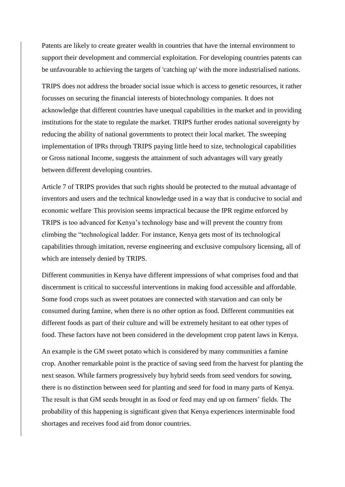Patents are likely to create greater wealth in countries that have the internal environment to support their development and commercial exploitation. For developing countries patents can be unfavourable to achieving the targets of 'catching up' with the more industrialised nations.

TRIPS does not address the broader social issue which is access to genetic resources, it rather focusses on securing the financial interests of biotechnology companies. It does not acknowledge that different countries have unequal capabilities in the market and in providing institutions for the state to regulate the market. TRIPS further erodes national sovereignty by reducing the ability of national governments to protect their local market. The sweeping implementation of IPRs through TRIPS paying little heed to size, technological capabilities or Gross national Income, suggests the attainment of such advantages will vary greatly between different developing countries.

Article 7 of TRIPS provides that such rights should be protected to the mutual advantage of inventors and users and the technical knowledge used in a way that is conducive to social and economic welfare. This provision seems impractical because the IPR regime enforced by TRIPS is too advanced for Kenya's technology base and will prevent the country from climbing the "technological ladder. For instance, Kenya gets most of its technological capabilities through imitation, reverse engineering and exclusive compulsory licensing, all of which are intensely denied by TRIPS.

Different communities in Kenya have different impressions of what comprises food and that discernment is critical to successful interventions in making food accessible and affordable. Some food crops such as sweet potatoes are connected with starvation and can only be consumed during famine, when there is no other option as food. Different communities eat different foods as part of their culture and will be extremely hesitant to eat other types of food. These factors have not been considered in the development crop patent laws in Kenya.

An example is the GM sweet potato which is considered by many communities a famine crop. Another remarkable point is the practice of saving seed from the harvest for planting the next season. While farmers progressively buy hybrid seeds from seed vendors for sowing, there is no distinction between seed for planting and seed for food in many parts of Kenya. The result is that GM seeds brought in as food or feed may end up on farmers' fields. The probability of this happening is significant given that Kenya experiences interminable food shortages and receives food aid from donor countries.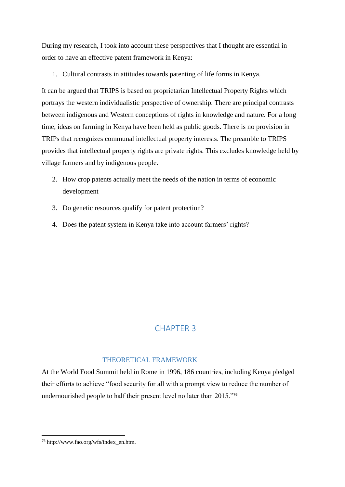During my research, I took into account these perspectives that I thought are essential in order to have an effective patent framework in Kenya:

1. Cultural contrasts in attitudes towards patenting of life forms in Kenya.

It can be argued that TRIPS is based on proprietarian Intellectual Property Rights which portrays the western individualistic perspective of ownership. There are principal contrasts between indigenous and Western conceptions of rights in knowledge and nature. For a long time, ideas on farming in Kenya have been held as public goods. There is no provision in TRIPs that recognizes communal intellectual property interests. The preamble to TRIPS provides that intellectual property rights are private rights. This excludes knowledge held by village farmers and by indigenous people.

- 2. How crop patents actually meet the needs of the nation in terms of economic development
- 3. Do genetic resources qualify for patent protection?
- 4. Does the patent system in Kenya take into account farmers' rights?

# CHAPTER 3

# THEORETICAL FRAMEWORK

At the World Food Summit held in Rome in 1996, 186 countries, including Kenya pledged their efforts to achieve "food security for all with a prompt view to reduce the number of undernourished people to half their present level no later than 2015."<sup>76</sup>

<sup>76</sup> http://www.fao.org/wfs/index\_en.htm.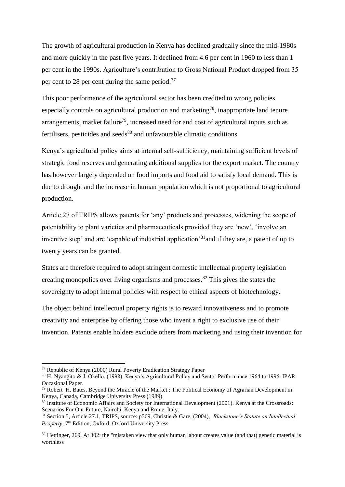The growth of agricultural production in Kenya has declined gradually since the mid-1980s and more quickly in the past five years. It declined from 4.6 per cent in 1960 to less than 1 per cent in the 1990s. Agriculture's contribution to Gross National Product dropped from 35 per cent to 28 per cent during the same period.<sup>77</sup>

This poor performance of the agricultural sector has been credited to wrong policies especially controls on agricultural production and marketing<sup>78</sup>, inappropriate land tenure arrangements, market failure<sup>79</sup>, increased need for and cost of agricultural inputs such as fertilisers, pesticides and seeds $80$  and unfavourable climatic conditions.

Kenya's agricultural policy aims at internal self-sufficiency, maintaining sufficient levels of strategic food reserves and generating additional supplies for the export market. The country has however largely depended on food imports and food aid to satisfy local demand. This is due to drought and the increase in human population which is not proportional to agricultural production.

Article 27 of TRIPS allows patents for 'any' products and processes, widening the scope of patentability to plant varieties and pharmaceuticals provided they are 'new', 'involve an inventive step' and are 'capable of industrial application'<sup>81</sup> and if they are, a patent of up to twenty years can be granted.

States are therefore required to adopt stringent domestic intellectual property legislation creating monopolies over living organisms and processes.<sup>82</sup> This gives the states the sovereignty to adopt internal policies with respect to ethical aspects of biotechnology.

The object behind intellectual property rights is to reward innovativeness and to promote creativity and enterprise by offering those who invent a right to exclusive use of their invention. Patents enable holders exclude others from marketing and using their invention for

<sup>77</sup> Republic of Kenya (2000) Rural Poverty Eradication Strategy Paper

<sup>78</sup> H. Nyangito & J. Okello. (1998). Kenya's Agricultural Policy and Sector Performance 1964 to 1996. IPAR Occasional Paper.

 $<sup>79</sup>$  Robert H. Bates, Beyond the Miracle of the Market : The Political Economy of Agrarian Development in</sup> Kenya, Canada, Cambridge University Press (1989).

<sup>80</sup> Institute of Economic Affairs and Society for International Development (2001). Kenya at the Crossroads: Scenarios For Our Future, Nairobi, Kenya and Rome, Italy.

<sup>81</sup> Section 5, Article 27.1, TRIPS, source: p569, Christie & Gare, (2004), *Blackstone's Statute on Intellectual Property*, 7<sup>th</sup> Edition, Oxford: Oxford University Press

 $82$  Hettinger, 269. At 302: the "mistaken view that only human labour creates value (and that) genetic material is worthless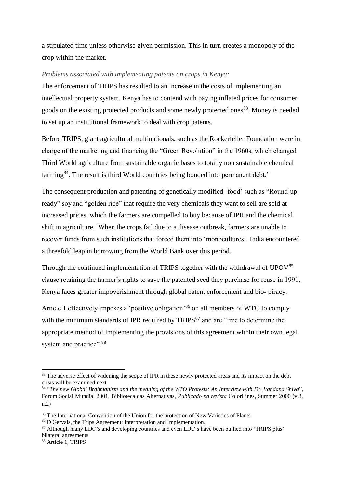a stipulated time unless otherwise given permission. This in turn creates a monopoly of the crop within the market.

### *Problems associated with implementing patents on crops in Kenya:*

The enforcement of TRIPS has resulted to an increase in the costs of implementing an intellectual property system. Kenya has to contend with paying inflated prices for consumer goods on the existing protected products and some newly protected ones<sup>83</sup>. Money is needed to set up an institutional framework to deal with crop patents.

Before TRIPS, giant agricultural multinationals, such as the Rockerfeller Foundation were in charge of the marketing and financing the "Green Revolution" in the 1960s, which changed Third World agriculture from sustainable organic bases to totally non sustainable chemical farming<sup>84</sup>. The result is third World countries being bonded into permanent debt.'

The consequent production and patenting of genetically modified *'*food' such as "Round-up ready" soy and "golden rice" that require the very chemicals they want to sell are sold at increased prices, which the farmers are compelled to buy because of IPR and the chemical shift in agriculture. When the crops fail due to a disease outbreak, farmers are unable to recover funds from such institutions that forced them into 'monocultures'. India encountered a threefold leap in borrowing from the World Bank over this period.

Through the continued implementation of TRIPS together with the withdrawal of  $UPOV<sup>85</sup>$ clause retaining the farmer's rights to save the patented seed they purchase for reuse in 1991, Kenya faces greater impoverishment through global patent enforcement and bio- piracy.

Article 1 effectively imposes a 'positive obligation'<sup>86</sup> on all members of WTO to comply with the minimum standards of IPR required by  $TRIPS<sup>87</sup>$  and are "free to determine the appropriate method of implementing the provisions of this agreement within their own legal system and practice".<sup>88</sup>

<sup>&</sup>lt;sup>83</sup> The adverse effect of widening the scope of IPR in these newly protected areas and its impact on the debt crisis will be examined next

<sup>84</sup> "*The new Global Brahmanism and the meaning of the WTO Protests: An Interview with Dr. Vandana Shiva*", Forum Social Mundial 2001, Biblioteca das Alternativas, *Publicado na revista* ColorLines, Summer 2000 (v.3, n.2)

<sup>&</sup>lt;sup>85</sup> The International Convention of the Union for the protection of New Varieties of Plants

<sup>86</sup> D Gervais, the Trips Agreement: Interpretation and Implementation.

<sup>&</sup>lt;sup>87</sup> Although many LDC's and developing countries and even LDC's have been bullied into 'TRIPS plus' bilateral agreements

<sup>88</sup> Article 1, TRIPS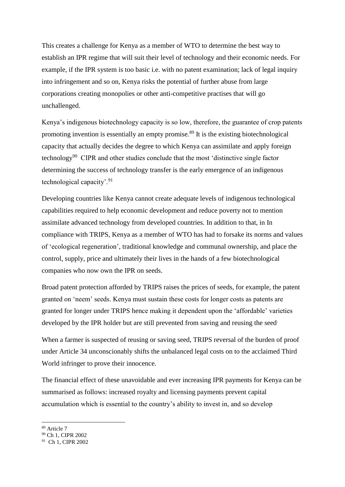This creates a challenge for Kenya as a member of WTO to determine the best way to establish an IPR regime that will suit their level of technology and their economic needs. For example, if the IPR system is too basic i.e. with no patent examination; lack of legal inquiry into infringement and so on, Kenya risks the potential of further abuse from large corporations creating monopolies or other anti-competitive practises that will go unchallenged.

Kenya's indigenous biotechnology capacity is so low, therefore, the guarantee of crop patents promoting invention is essentially an empty promise.<sup>89</sup> It is the existing biotechnological capacity that actually decides the degree to which Kenya can assimilate and apply foreign technology<sup>90</sup> CIPR and other studies conclude that the most 'distinctive single factor determining the success of technology transfer is the early emergence of an indigenous technological capacity'.<sup>91</sup>

Developing countries like Kenya cannot create adequate levels of indigenous technological capabilities required to help economic development and reduce poverty not to mention assimilate advanced technology from developed countries. In addition to that, in In compliance with TRIPS, Kenya as a member of WTO has had to forsake its norms and values of 'ecological regeneration', traditional knowledge and communal ownership, and place the control, supply, price and ultimately their lives in the hands of a few biotechnological companies who now own the IPR on seeds.

Broad patent protection afforded by TRIPS raises the prices of seeds, for example, the patent granted on 'neem' seeds. Kenya must sustain these costs for longer costs as patents are granted for longer under TRIPS hence making it dependent upon the 'affordable' varieties developed by the IPR holder but are still prevented from saving and reusing the seed.

When a farmer is suspected of reusing or saving seed, TRIPS reversal of the burden of proof under Article 34 unconscionably shifts the unbalanced legal costs on to the acclaimed Third World infringer to prove their innocence.

The financial effect of these unavoidable and ever increasing IPR payments for Kenya can be summarised as follows: increased royalty and licensing payments prevent capital accumulation which is essential to the country's ability to invest in, and so develop

<sup>1</sup> <sup>89</sup> Article 7

<sup>90</sup> Ch 1, CIPR 2002

<sup>91</sup> Ch 1, CIPR 2002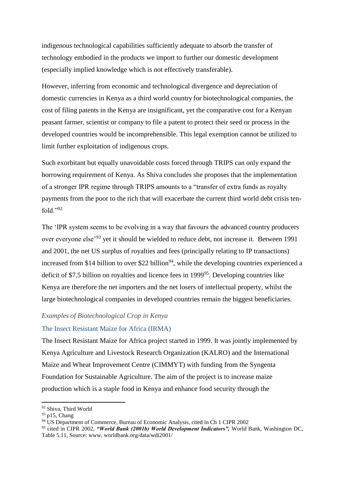indigenous technological capabilities sufficiently adequate to absorb the transfer of technology embodied in the products we import to further our domestic development (especially implied knowledge which is not effectively transferable).

However, inferring from economic and technological divergence and depreciation of domestic currencies in Kenya as a third world country for biotechnological companies, the cost of filing patents in the Kenya are insignificant, yet the comparative cost for a Kenyan peasant farmer, scientist or company to file a patent to protect their seed or process in the developed countries would be incomprehensible. This legal exemption cannot be utilized to limit further exploitation of indigenous crops.

Such exorbitant but equally unavoidable costs forced through TRIPS can only expand the borrowing requirement of Kenya. As Shiva concludes she proposes that the implementation of a stronger IPR regime through TRIPS amounts to a "transfer of extra funds as royalty payments from the poor to the rich that will exacerbate the current third world debt crisis tenfold."<sup>92</sup>

The 'IPR system seems to be evolving in a way that favours the advanced country producers over everyone else'<sup>93</sup> yet it should be wielded to reduce debt, not increase it. Between 1991 and 2001, the net US surplus of royalties and fees (principally relating to IP transactions) increased from \$14 billion to over \$22 billion<sup>94</sup>, while the developing countries experienced a deficit of \$7.5 billion on royalties and licence fees in 1999<sup>95</sup>. Developing countries like Kenya are therefore the net importers and the net losers of intellectual property, whilst the large biotechnological companies in developed countries remain the biggest beneficiaries.

### *Examples of Biotechnological Crop in Kenya*

#### The Insect Resistant Maize for Africa (IRMA)

The Insect Resistant Maize for Africa project started in 1999. It was jointly implemented by Kenya Agriculture and Livestock Research Organization (KALRO) and the International Maize and Wheat Improvement Centre (CIMMYT) with funding from the Syngenta Foundation for Sustainable Agriculture. The aim of the project is to increase maize production which is a staple food in Kenya and enhance food security through the

1

<sup>92</sup> Shiva, Third World

<sup>93</sup> p15, Chang

<sup>&</sup>lt;sup>94</sup> US Department of Commerce, Bureau of Economic Analysis, cited in Ch 1 CIPR 2002

<sup>95</sup> cited in CIPR 2002, *"World Bank (2001b) World Development Indicators",* World Bank, Washington DC, Table 5.11, Source: www. worldbank.org/data/wdi2001/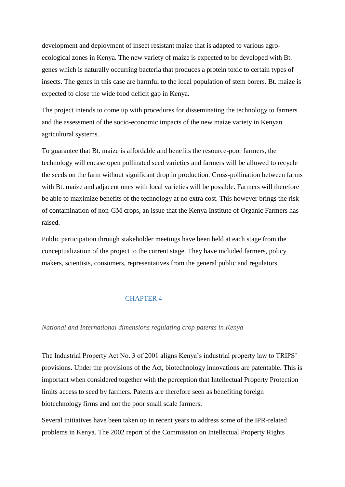development and deployment of insect resistant maize that is adapted to various agroecological zones in Kenya. The new variety of maize is expected to be developed with Bt. genes which is naturally occurring bacteria that produces a protein toxic to certain types of insects. The genes in this case are harmful to the local population of stem borers. Bt. maize is expected to close the wide food deficit gap in Kenya.

The project intends to come up with procedures for disseminating the technology to farmers and the assessment of the socio-economic impacts of the new maize variety in Kenyan agricultural systems.

To guarantee that Bt. maize is affordable and benefits the resource-poor farmers, the technology will encase open pollinated seed varieties and farmers will be allowed to recycle the seeds on the farm without significant drop in production. Cross-pollination between farms with Bt. maize and adjacent ones with local varieties will be possible. Farmers will therefore be able to maximize benefits of the technology at no extra cost. This however brings the risk of contamination of non-GM crops, an issue that the Kenya Institute of Organic Farmers has raised.

Public participation through stakeholder meetings have been held at each stage from the conceptualization of the project to the current stage. They have included farmers, policy makers, scientists, consumers, representatives from the general public and regulators.

# CHAPTER 4

### *National and International dimensions regulating crop patents in Kenya*

The Industrial Property Act No. 3 of 2001 aligns Kenya's industrial property law to TRIPS' provisions. Under the provisions of the Act, biotechnology innovations are patentable. This is important when considered together with the perception that Intellectual Property Protection limits access to seed by farmers. Patents are therefore seen as benefiting foreign biotechnology firms and not the poor small scale farmers.

Several initiatives have been taken up in recent years to address some of the IPR-related problems in Kenya. The 2002 report of the Commission on Intellectual Property Rights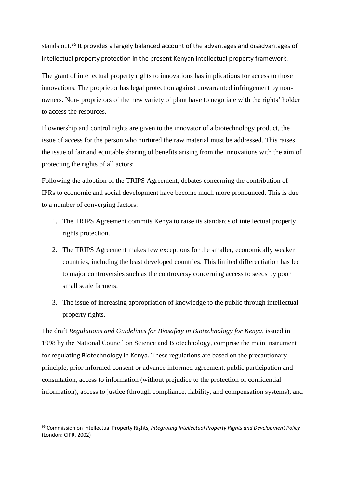stands out.<sup>96</sup> It provides a largely balanced account of the advantages and disadvantages of intellectual property protection in the present Kenyan intellectual property framework.

The grant of intellectual property rights to innovations has implications for access to those innovations. The proprietor has legal protection against unwarranted infringement by nonowners. Non- proprietors of the new variety of plant have to negotiate with the rights' holder to access the resources.

If ownership and control rights are given to the innovator of a biotechnology product, the issue of access for the person who nurtured the raw material must be addressed. This raises the issue of fair and equitable sharing of benefits arising from the innovations with the aim of protecting the rights of all actors.

Following the adoption of the TRIPS Agreement, debates concerning the contribution of IPRs to economic and social development have become much more pronounced. This is due to a number of converging factors:

- 1. The TRIPS Agreement commits Kenya to raise its standards of intellectual property rights protection.
- 2. The TRIPS Agreement makes few exceptions for the smaller, economically weaker countries, including the least developed countries. This limited differentiation has led to major controversies such as the controversy concerning access to seeds by poor small scale farmers.
- 3. The issue of increasing appropriation of knowledge to the public through intellectual property rights.

The draft *Regulations and Guidelines for Biosafety in Biotechnology for Kenya,* issued in 1998 by the National Council on Science and Biotechnology, comprise the main instrument for regulating Biotechnology in Kenya. These regulations are based on the precautionary principle, prior informed consent or advance informed agreement, public participation and consultation, access to information (without prejudice to the protection of confidential information), access to justice (through compliance, liability, and compensation systems), and

<sup>96</sup> Commission on Intellectual Property Rights, *Integrating Intellectual Property Rights and Development Policy*  (London: CIPR, 2002)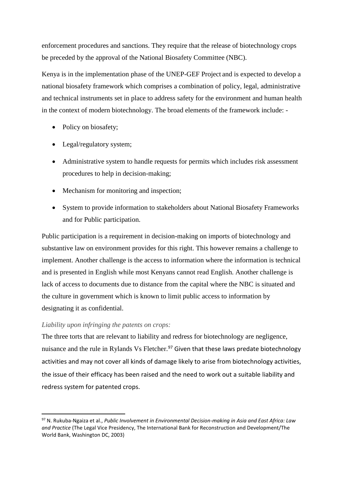enforcement procedures and sanctions. They require that the release of biotechnology crops be preceded by the approval of the National Biosafety Committee (NBC).

Kenya is in the implementation phase of the UNEP-GEF Project and is expected to develop a national biosafety framework which comprises a combination of policy, legal, administrative and technical instruments set in place to address safety for the environment and human health in the context of modern biotechnology. The broad elements of the framework include: -

- Policy on biosafety;
- Legal/regulatory system;
- Administrative system to handle requests for permits which includes risk assessment procedures to help in decision-making;
- Mechanism for monitoring and inspection;
- System to provide information to stakeholders about National Biosafety Frameworks and for Public participation.

Public participation is a requirement in decision-making on imports of biotechnology and substantive law on environment provides for this right. This however remains a challenge to implement. Another challenge is the access to information where the information is technical and is presented in English while most Kenyans cannot read English. Another challenge is lack of access to documents due to distance from the capital where the NBC is situated and the culture in government which is known to limit public access to information by designating it as confidential.

# *Liability upon infringing the patents on crops:*

**.** 

The three torts that are relevant to liability and redress for biotechnology are negligence, nuisance and the rule in Rylands Vs Fletcher.<sup>97</sup> Given that these laws predate biotechnology activities and may not cover all kinds of damage likely to arise from biotechnology activities, the issue of their efficacy has been raised and the need to work out a suitable liability and redress system for patented crops.

<sup>97</sup> N. Rukuba-Ngaiza et al., *Public Involvement in Environmental Decision-making in Asia and East Africa: Law and Practice* (The Legal Vice Presidency, The International Bank for Reconstruction and Development/The World Bank, Washington DC, 2003)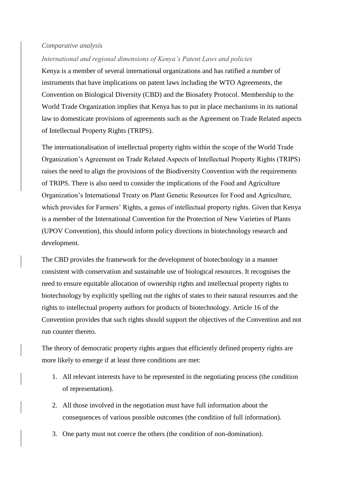### *Comparative analysis*

### *International and regional dimensions of Kenya's Patent Laws and policies*

Kenya is a member of several international organizations and has ratified a number of instruments that have implications on patent laws including the WTO Agreements, the Convention on Biological Diversity (CBD) and the Biosafety Protocol. Membership to the World Trade Organization implies that Kenya has to put in place mechanisms in its national law to domesticate provisions of agreements such as the Agreement on Trade Related aspects of Intellectual Property Rights (TRIPS).

The internationalisation of intellectual property rights within the scope of the World Trade Organization's Agreement on Trade Related Aspects of Intellectual Property Rights (TRIPS) raises the need to align the provisions of the Biodiversity Convention with the requirements of TRIPS. There is also need to consider the implications of the Food and Agriculture Organization's International Treaty on Plant Genetic Resources for Food and Agriculture, which provides for Farmers' Rights, a genus of intellectual property rights. Given that Kenya is a member of the International Convention for the Protection of New Varieties of Plants (UPOV Convention), this should inform policy directions in biotechnology research and development.

The CBD provides the framework for the development of biotechnology in a manner consistent with conservation and sustainable use of biological resources. It recognises the need to ensure equitable allocation of ownership rights and intellectual property rights to biotechnology by explicitly spelling out the rights of states to their natural resources and the rights to intellectual property authors for products of biotechnology. Article 16 of the Convention provides that such rights should support the objectives of the Convention and not run counter thereto.

The theory of democratic property rights argues that efficiently defined property rights are more likely to emerge if at least three conditions are met:

- 1. All relevant interests have to be represented in the negotiating process (the condition of representation).
- 2. All those involved in the negotiation must have full information about the consequences of various possible outcomes (the condition of full information).
- 3. One party must not coerce the others (the condition of non-domination).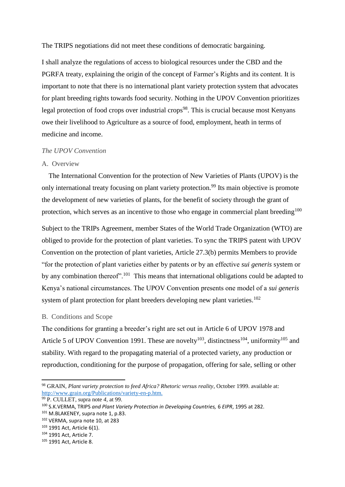The TRIPS negotiations did not meet these conditions of democratic bargaining.

I shall analyze the regulations of access to biological resources under the CBD and the PGRFA treaty, explaining the origin of the concept of Farmer's Rights and its content. It is important to note that there is no international plant variety protection system that advocates for plant breeding rights towards food security. Nothing in the UPOV Convention prioritizes legal protection of food crops over industrial crops<sup>98</sup>. This is crucial because most Kenyans owe their livelihood to Agriculture as a source of food, employment, heath in terms of medicine and income.

# *The UPOV Convention*

### A. Overview

 The International Convention for the protection of New Varieties of Plants (UPOV) is the only international treaty focusing on plant variety protection.<sup>99</sup> Its main objective is promote the development of new varieties of plants, for the benefit of society through the grant of protection, which serves as an incentive to those who engage in commercial plant breeding<sup>100</sup>

Subject to the TRIPs Agreement, member States of the World Trade Organization (WTO) are obliged to provide for the protection of plant varieties. To sync the TRIPS patent with UPOV Convention on the protection of plant varieties, Article 27.3(b) permits Members to provide "for the protection of plant varieties either by patents or by an effective *sui generis* system or by any combination thereof".<sup>101</sup> This means that international obligations could be adapted to Kenya's national circumstances. The UPOV Convention presents one model of a *sui generis* system of plant protection for plant breeders developing new plant varieties.<sup>102</sup>

### B. Conditions and Scope

The conditions for granting a breeder's right are set out in Article 6 of UPOV 1978 and Article 5 of UPOV Convention 1991. These are novelty<sup>103</sup>, distinctness<sup>104</sup>, uniformity<sup>105</sup> and stability. With regard to the propagating material of a protected variety, any production or reproduction, conditioning for the purpose of propagation, offering for sale, selling or other

<sup>98</sup> GRAIN, *Plant variety protection to feed Africa? Rhetoric versus reality*, October 1999. available at: [http://www.grain.org/Publications/variety-en-p.htm.](http://www.grain.org/Publications/variety-en-p.htm) 

<sup>99</sup> P. CULLET, supra note *4,* at 99.

<sup>100</sup> S.K.VERMA, TRIPS *and Plant Variety Protection in Developing Countries,* 6 *EIPR*, 1995 at 282.

<sup>101</sup> M.BLAKENEY, supra note 1, p.83.

<sup>102</sup> VERMA, supra note 10, at 283

<sup>103</sup> 1991 Act, Article 6(1).

<sup>104</sup> 1991 Act, Article 7.

<sup>105</sup> 1991 Act, Article 8.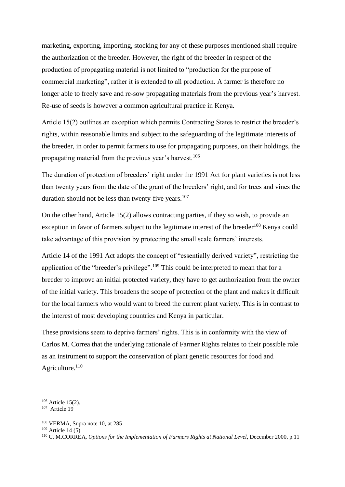marketing, exporting, importing, stocking for any of these purposes mentioned shall require the authorization of the breeder. However, the right of the breeder in respect of the production of propagating material is not limited to "production for the purpose of commercial marketing", rather it is extended to all production. A farmer is therefore no longer able to freely save and re-sow propagating materials from the previous year's harvest. Re-use of seeds is however a common agricultural practice in Kenya.

Article 15(2) outlines an exception which permits Contracting States to restrict the breeder's rights, within reasonable limits and subject to the safeguarding of the legitimate interests of the breeder, in order to permit farmers to use for propagating purposes, on their holdings, the propagating material from the previous year's harvest.<sup>106</sup>

The duration of protection of breeders' right under the 1991 Act for plant varieties is not less than twenty years from the date of the grant of the breeders' right, and for trees and vines the duration should not be less than twenty-five years. $107$ 

On the other hand, Article 15(2) allows contracting parties, if they so wish, to provide an exception in favor of farmers subject to the legitimate interest of the breeder<sup>108</sup> Kenya could take advantage of this provision by protecting the small scale farmers' interests.

Article 14 of the 1991 Act adopts the concept of "essentially derived variety", restricting the application of the "breeder's privilege".<sup>109</sup> This could be interpreted to mean that for a breeder to improve an initial protected variety, they have to get authorization from the owner of the initial variety. This broadens the scope of protection of the plant and makes it difficult for the local farmers who would want to breed the current plant variety. This is in contrast to the interest of most developing countries and Kenya in particular.

These provisions seem to deprive farmers' rights. This is in conformity with the view of Carlos M. Correa that the underlying rationale of Farmer Rights relates to their possible role as an instrument to support the conservation of plant genetic resources for food and Agriculture.<sup>110</sup>

 $\overline{\phantom{a}}$ 

<sup>&</sup>lt;sup>106</sup> Article 15(2).

<sup>107</sup> Article 19

<sup>108</sup> VERMA, Supra note 10, at 285

 $109$  Article 14 (5)

<sup>110</sup> C. M.CORREA*, Options for the Implementation of Farmers Rights at National Level*, December 2000, p.11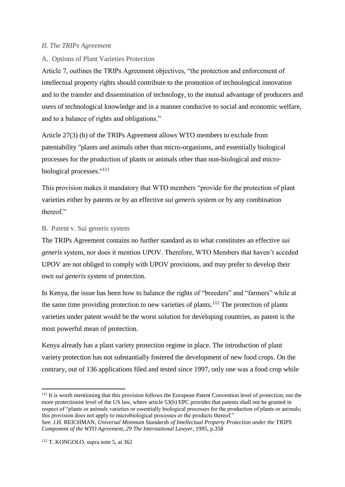# *II. The TRIPs Agreement*

# A. Options of Plant Varieties Protection

Article 7, outlines the TRIPs Agreement objectives, "the protection and enforcement of intellectual property rights should contribute to the promotion of technological innovation and to the transfer and dissemination of technology, to the mutual advantage of producers and users of technological knowledge and in a manner conducive to social and economic welfare, and to a balance of rights and obligations."

Article 27(3) (b) of the TRIPs Agreement allows WTO members to exclude from patentability "plants and animals other than micro-organisms, and essentially biological processes for the production of plants or animals other than non-biological and microbiological processes."<sup>111</sup>

This provision makes it mandatory that WTO members "provide for the protection of plant varieties either by patents or by an effective *sui generis* system or by any combination thereof."

# B. Patent v. Sui generis system

The TRIPs Agreement contains no further standard as to what constitutes an effective *sui generis* system, nor does it mention UPOV. Therefore, WTO Members that haven't acceded UPOV are not obliged to comply with UPOV provisions, and may prefer to develop their own *sui generis* system of protection.

In Kenya, the issue has been how to balance the rights of "breeders" and "farmers" while at the same time providing protection to new varieties of plants.<sup>112</sup> The protection of plants varieties under patent would be the worst solution for developing countries, as patent is the most powerful mean of protection.

Kenya already has a plant variety protection regime in place. The introduction of plant variety protection has not substantially fostered the development of new food crops. On the contrary, out of 136 applications filed and tested since 1997, only one was a food crop while

**<sup>.</sup>** <sup>111</sup> It is worth mentioning that this provision follows the European Patent Convention level of protection, not the more protectionist level of the US law, where article 53(b) EPC provides that patents shall not be granted in respect of "plants or animals varieties or essentially biological processes for the production of plants or animals; this provision does not apply to microbiological processes or the products thereof."

See: J.H. REICHMAN, *Universal Minimum Standards of Intellectual Property Protection under the* TRIPS *Component of the WTO Agreement, 29 The International Lawyer*, 1995, p.358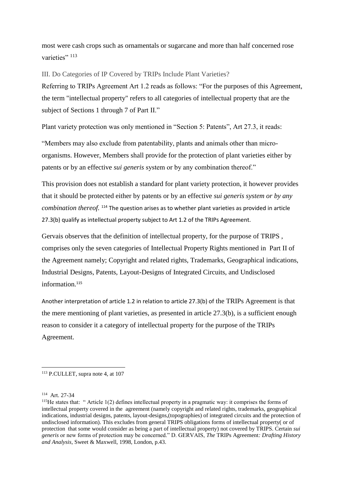most were cash crops such as ornamentals or sugarcane and more than half concerned rose varieties" 113

III. Do Categories of IP Covered by TRIPs Include Plant Varieties? Referring to TRIPs Agreement Art 1.2 reads as follows: "For the purposes of this Agreement, the term "intellectual property" refers to all categories of intellectual property that are the subject of Sections 1 through 7 of Part II."

Plant variety protection was only mentioned in "Section 5: Patents", Art 27.3, it reads:

"Members may also exclude from patentability, plants and animals other than microorganisms. However, Members shall provide for the protection of plant varieties either by patents or by an effective *sui generis* system or by any combination thereof."

This provision does not establish a standard for plant variety protection, it however provides that it should be protected either by patents or by an effective *sui generis system or by any combination thereof.* <sup>114</sup> The question arises as to whether plant varieties as provided in article 27.3(b) qualify as intellectual property subject to Art 1.2 of the TRIPs Agreement.

Gervais observes that the definition of intellectual property, for the purpose of TRIPS , comprises only the seven categories of Intellectual Property Rights mentioned in Part II of the Agreement namely; Copyright and related rights, Trademarks, Geographical indications, Industrial Designs, Patents, Layout-Designs of Integrated Circuits, and Undisclosed information.<sup>115</sup>

Another interpretation of article 1.2 in relation to article 27.3(b) of the TRIPs Agreement is that the mere mentioning of plant varieties, as presented in article 27.3(b), is a sufficient enough reason to consider it a category of intellectual property for the purpose of the TRIPs Agreement.

**<sup>.</sup>** <sup>113</sup> P.CULLET, supra note 4, at 107

<sup>114</sup> Art. 27-34

<sup>115</sup>He states that: " Article 1(2) defines intellectual property in a pragmatic way: it comprises the forms of intellectual property covered in the agreement (namely copyright and related rights, trademarks, geographical indications, industrial designs, patents, layout-designs,(topographies) of integrated circuits and the protection of undisclosed information). This excludes from general TRIPS obligations forms of intellectual property( or of protection that some would consider as being a part of intellectual property) not covered by TRIPS. Certain *sui generis* or new forms of protection may be concerned." D. GERVAIS, *The* TRIPs Agreement*: Drafting History and Analysis*, Sweet & Maxwell, 1998, London, p.43.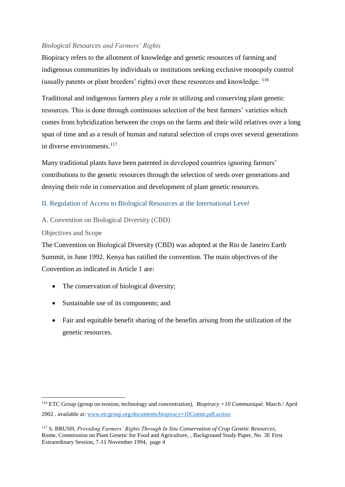# *Biological Resources and Farmers' Rights*

Biopiracy refers to the allotment of knowledge and genetic resources of farming and indigenous communities by individuals or institutions seeking exclusive monopoly control (usually patents or plant breeders' rights) over these resources and knowledge. <sup>116</sup>

Traditional and indigenous farmers play a role in utilizing and conserving plant genetic resources. This is done through continuous selection of the best farmers' varieties which comes from hybridization between the crops on the farms and their wild relatives over a long span of time and as a result of human and natural selection of crops over several generations in diverse environments.<sup>117</sup>

Many traditional plants have been patented in developed countries ignoring farmers' contributions to the genetic resources through the selection of seeds over generations and denying their role in conservation and development of plant genetic resources.

# II. Regulation of Access to Biological Resources at the International Leve*l*

A. Convention on Biological Diversity (CBD)

Objectives and Scope

**.** 

The Convention on Biological Diversity (CBD) was adopted at the Rio de Janeiro Earth Summit, in June 1992. Kenya has ratified the convention. The main objectives of the Convention as indicated in Article 1 are:

- The conservation of biological diversity;
- Sustainable use of its components; and
- Fair and equitable benefit sharing of the benefits arising from the utilization of the genetic resources.

<sup>116</sup> ETC Group (group on erosion, technology and concentration), *Biopiracy +10 Communiqué*. March / April 2002 . available at[: www.etcgroup.org/documents/biopiracy+10Comm.pdf.action](http://www.etcgroup.org/documents/biopiracy+10Comm.pdf.action)

<sup>117</sup> S. BRUSH, *Providing Farmers' Rights Through In Situ Conservation of Crop Genetic Resources*, Rome, Commission on Plant Genetic for Food and Agriculture, , Background Study Paper, No. 3E First Extraordinary Session, 7-11 November 1994, page 4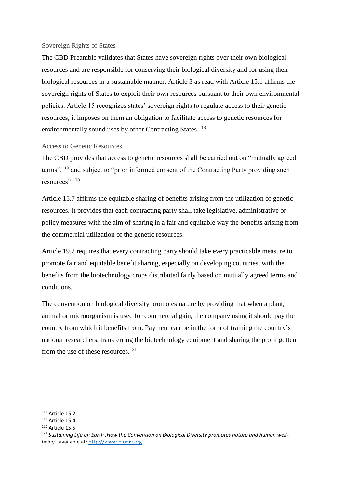### Sovereign Rights of States

The CBD Preamble validates that States have sovereign rights over their own biological resources and are responsible for conserving their biological diversity and for using their biological resources in a sustainable manner. Article 3 as read with Article 15.1 affirms the sovereign rights of States to exploit their own resources pursuant to their own environmental policies. Article 15 recognizes states' sovereign rights to regulate access to their genetic resources, it imposes on them an obligation to facilitate access to genetic resources for environmentally sound uses by other Contracting States.<sup>118</sup>

# Access to Genetic Resources

The CBD provides that access to genetic resources shall be carried out on "mutually agreed terms",<sup>119</sup> and subject to "prior informed consent of the Contracting Party providing such resources".<sup>120</sup>

Article 15.7 affirms the equitable sharing of benefits arising from the utilization of genetic resources. It provides that each contracting party shall take legislative, administrative or policy measures with the aim of sharing in a fair and equitable way the benefits arising from the commercial utilization of the genetic resources.

Article 19.2 requires that every contracting party should take every practicable measure to promote fair and equitable benefit sharing, especially on developing countries, with the benefits from the biotechnology crops distributed fairly based on mutually agreed terms and conditions.

The convention on biological diversity promotes nature by providing that when a plant, animal or microorganism is used for commercial gain, the company using it should pay the country from which it benefits from. Payment can be in the form of training the country's national researchers, transferring the biotechnology equipment and sharing the profit gotten from the use of these resources.<sup>121</sup>

 $\overline{\phantom{a}}$ <sup>118</sup> Article 15.2

<sup>119</sup> Article 15.4

<sup>120</sup> Article 15.5

<sup>&</sup>lt;sup>121</sup> Sustaining Life on Earth . How the Convention on Biological Diversity promotes nature and human well*being.* available at: [http://www.biodiv.org](http://www.biodiv.org/)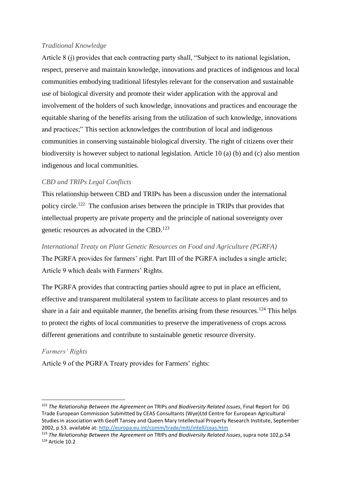# *Traditional Knowledge*

Article 8 (j) provides that each contracting party shall, "Subject to its national legislation, respect, preserve and maintain knowledge, innovations and practices of indigenous and local communities embodying traditional lifestyles relevant for the conservation and sustainable use of biological diversity and promote their wider application with the approval and involvement of the holders of such knowledge, innovations and practices and encourage the equitable sharing of the benefits arising from the utilization of such knowledge, innovations and practices;" This section acknowledges the contribution of local and indigenous communities in conserving sustainable biological diversity. The right of citizens over their biodiversity is however subject to national legislation. Article 10 (a) (b) and (c) also mention indigenous and local communities.

# *CBD and TRIPs Legal Conflicts*

This relationship between CBD and TRIPs has been a discussion under the international policy circle.<sup>122</sup> The confusion arises between the principle in TRIPs that provides that intellectual property are private property and the principle of national sovereignty over genetic resources as advocated in the CBD.<sup>123</sup>

# *International Treaty on Plant Genetic Resources on Food and Agriculture (PGRFA)*

The PGRFA provides for farmers' right. Part III of the PGRFA includes a single article; Article 9 which deals with Farmers' Rights.

The PGRFA provides that contracting parties should agree to put in place an efficient, effective and transparent multilateral system to facilitate access to plant resources and to share in a fair and equitable manner, the benefits arising from these resources.<sup>124</sup> This helps to protect the rights of local communities to preserve the imperativeness of crops across different generations and contribute to sustainable genetic resource diversity.

# *Farmers' Rights*

**.** 

Article 9 of the PGRFA Treaty provides for Farmers' rights:

<sup>122</sup> *The Relationship Between the Agreement on* TRIPs *and Biodiversity Related Issues*, Final Report for DG Trade European Commission Submitted by CEAS Consultants (Wye)Ltd Centre for European Agricultural Studies in association with Geoff Tansey and Queen Mary Intellectual Property Research Institute, September 2002, p.53. available at: http://europa.eu.int/comm/trade/miti/intell/ceas.htm

<sup>123</sup> *The Relationship Between the Agreement on* TRIPs *and Biodiversity Related Issues*, supra note 102,p.54 <sup>124</sup> Article 10.2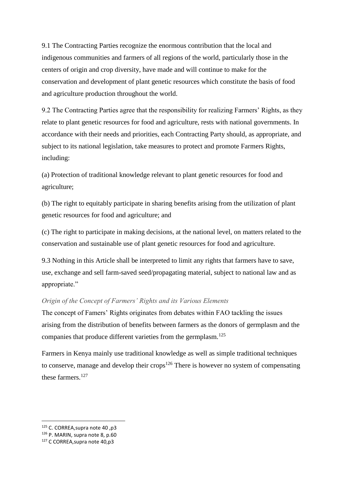9.1 The Contracting Parties recognize the enormous contribution that the local and indigenous communities and farmers of all regions of the world, particularly those in the centers of origin and crop diversity, have made and will continue to make for the conservation and development of plant genetic resources which constitute the basis of food and agriculture production throughout the world.

9.2 The Contracting Parties agree that the responsibility for realizing Farmers' Rights, as they relate to plant genetic resources for food and agriculture, rests with national governments. In accordance with their needs and priorities, each Contracting Party should, as appropriate, and subject to its national legislation, take measures to protect and promote Farmers Rights, including:

(a) Protection of traditional knowledge relevant to plant genetic resources for food and agriculture;

(b) The right to equitably participate in sharing benefits arising from the utilization of plant genetic resources for food and agriculture; and

(c) The right to participate in making decisions, at the national level, on matters related to the conservation and sustainable use of plant genetic resources for food and agriculture.

9.3 Nothing in this Article shall be interpreted to limit any rights that farmers have to save, use, exchange and sell farm-saved seed/propagating material, subject to national law and as appropriate."

# *Origin of the Concept of Farmers' Rights and its Various Elements*

The concept of Famers' Rights originates from debates within FAO tackling the issues arising from the distribution of benefits between farmers as the donors of germplasm and the companies that produce different varieties from the germplasm.<sup>125</sup>

Farmers in Kenya mainly use traditional knowledge as well as simple traditional techniques to conserve, manage and develop their crops<sup>126</sup> There is however no system of compensating these farmers.<sup>127</sup>

<sup>125</sup> C. CORREA,supra note 40 ,p3

<sup>126</sup> P. MARIN, supra note 8, p.60

<sup>127</sup> C CORREA,supra note 40,p3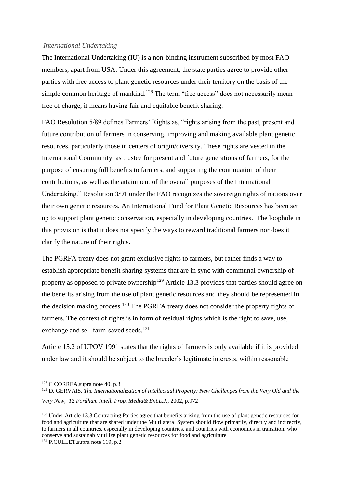### *International Undertaking*

The International Undertaking (IU) is a non-binding instrument subscribed by most FAO members, apart from USA. Under this agreement, the state parties agree to provide other parties with free access to plant genetic resources under their territory on the basis of the simple common heritage of mankind.<sup>128</sup> The term "free access" does not necessarily mean free of charge, it means having fair and equitable benefit sharing.

FAO Resolution 5/89 defines Farmers' Rights as, "rights arising from the past, present and future contribution of farmers in conserving, improving and making available plant genetic resources, particularly those in centers of origin/diversity. These rights are vested in the International Community, as trustee for present and future generations of farmers, for the purpose of ensuring full benefits to farmers, and supporting the continuation of their contributions, as well as the attainment of the overall purposes of the International Undertaking." Resolution 3/91 under the FAO recognizes the sovereign rights of nations over their own genetic resources. An International Fund for Plant Genetic Resources has been set up to support plant genetic conservation, especially in developing countries. The loophole in this provision is that it does not specify the ways to reward traditional farmers nor does it clarify the nature of their rights.

The PGRFA treaty does not grant exclusive rights to farmers, but rather finds a way to establish appropriate benefit sharing systems that are in sync with communal ownership of property as opposed to private ownership<sup>129</sup> Article 13.3 provides that parties should agree on the benefits arising from the use of plant genetic resources and they should be represented in the decision making process.<sup>130</sup> The PGRFA treaty does not consider the property rights of farmers. The context of rights is in form of residual rights which is the right to save, use, exchange and sell farm-saved seeds.<sup>131</sup>

Article 15.2 of UPOV 1991 states that the rights of farmers is only available if it is provided under law and it should be subject to the breeder's legitimate interests, within reasonable

<sup>128</sup> C CORREA,supra note 40, p.3

<sup>&</sup>lt;sup>129</sup> D. GERVAIS, *The Internationalization of Intellectual Property: New Challenges from the Very Old and the Very New*, *12 Fordham Intell. Prop. Media& Ent.L.J*., 2002, p.972

<sup>&</sup>lt;sup>130</sup> Under Article 13.3 Contracting Parties agree that benefits arising from the use of plant genetic resources for food and agriculture that are shared under the Multilateral System should flow primarily, directly and indirectly, to farmers in all countries, especially in developing countries, and countries with economies in transition, who conserve and sustainably utilize plant genetic resources for food and agriculture

<sup>&</sup>lt;sup>131</sup> P.CULLET, supra note 119, p.2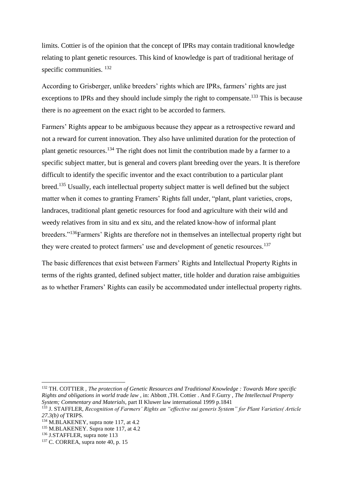limits. Cottier is of the opinion that the concept of IPRs may contain traditional knowledge relating to plant genetic resources. This kind of knowledge is part of traditional heritage of specific communities.  $^{132}$ 

According to Grisberger, unlike breeders' rights which are IPRs, farmers' rights are just exceptions to IPRs and they should include simply the right to compensate.<sup>133</sup> This is because there is no agreement on the exact right to be accorded to farmers.

Farmers' Rights appear to be ambiguous because they appear as a retrospective reward and not a reward for current innovation. They also have unlimited duration for the protection of plant genetic resources.<sup>134</sup> The right does not limit the contribution made by a farmer to a specific subject matter, but is general and covers plant breeding over the years. It is therefore difficult to identify the specific inventor and the exact contribution to a particular plant breed.<sup>135</sup> Usually, each intellectual property subject matter is well defined but the subject matter when it comes to granting Framers' Rights fall under, "plant, plant varieties, crops, landraces, traditional plant genetic resources for food and agriculture with their wild and weedy relatives from in situ and ex situ, and the related know-how of informal plant breeders."<sup>136</sup>Farmers' Rights are therefore not in themselves an intellectual property right but they were created to protect farmers' use and development of genetic resources.<sup>137</sup>

The basic differences that exist between Farmers' Rights and Intellectual Property Rights in terms of the rights granted, defined subject matter, title holder and duration raise ambiguities as to whether Framers' Rights can easily be accommodated under intellectual property rights.

<sup>132</sup> TH. COTTIER , *The protection of Genetic Resources and Traditional Knowledge : Towards More specific Rights and obligations in world trade law* , in: Abbott ,TH. Cottier . And F.Gurry , *The Intellectual Property System; Commentary and Materials,* part II Kluwer law international 1999 p.1841

 $\overline{\phantom{a}}$ 

<sup>133</sup> J. STAFFLER, *Recognition of Farmers' Rights an "effective sui generis System" for Plant Varieties( Article 27.3(b) of* TRIPS.

 $134$  M.BLAKENEY, supra note 117, at 4.2

<sup>&</sup>lt;sup>135</sup> M.BLAKENEY. Supra note 117, at 4.2

<sup>136</sup> J.STAFFLER, supra note 113

 $137$  C. CORREA, supra note 40, p. 15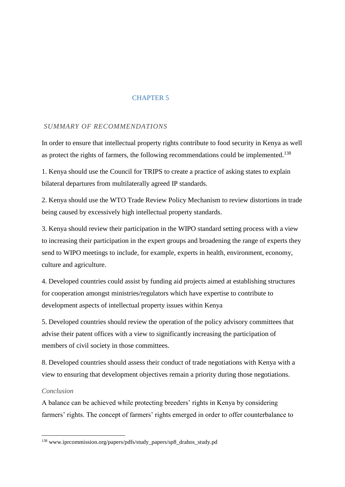# CHAPTER 5

# *SUMMARY OF RECOMMENDATIONS*

In order to ensure that intellectual property rights contribute to food security in Kenya as well as protect the rights of farmers, the following recommendations could be implemented.<sup>138</sup>

1. Kenya should use the Council for TRIPS to create a practice of asking states to explain bilateral departures from multilaterally agreed IP standards.

2. Kenya should use the WTO Trade Review Policy Mechanism to review distortions in trade being caused by excessively high intellectual property standards.

3. Kenya should review their participation in the WIPO standard setting process with a view to increasing their participation in the expert groups and broadening the range of experts they send to WIPO meetings to include, for example, experts in health, environment, economy, culture and agriculture.

4. Developed countries could assist by funding aid projects aimed at establishing structures for cooperation amongst ministries/regulators which have expertise to contribute to development aspects of intellectual property issues within Kenya

5. Developed countries should review the operation of the policy advisory committees that advise their patent offices with a view to significantly increasing the participation of members of civil society in those committees.

8. Developed countries should assess their conduct of trade negotiations with Kenya with a view to ensuring that development objectives remain a priority during those negotiations.

# *Conclusion*

**.** 

A balance can be achieved while protecting breeders' rights in Kenya by considering farmers' rights. The concept of farmers' rights emerged in order to offer counterbalance to

<sup>138</sup> www.iprcommission.org/papers/pdfs/study\_papers/sp8\_drahos\_study.pd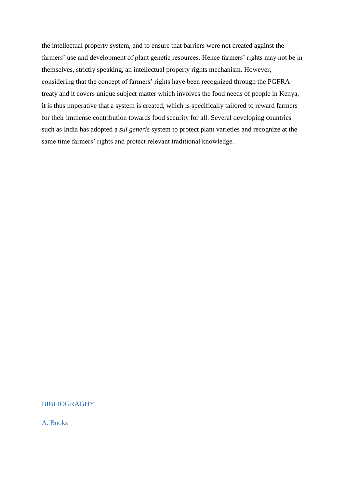the intellectual property system, and to ensure that barriers were not created against the farmers' use and development of plant genetic resources. Hence farmers' rights may not be in themselves, strictly speaking, an intellectual property rights mechanism. However, considering that the concept of farmers' rights have been recognized through the PGFRA treaty and it covers unique subject matter which involves the food needs of people in Kenya, it is thus imperative that a system is created, which is specifically tailored to reward farmers for their immense contribution towards food security for all. Several developing countries such as India has adopted a *sui generis* system to protect plant varieties and recognize at the same time farmers' rights and protect relevant traditional knowledge.

# BIBLIOGRAGHY

A. Books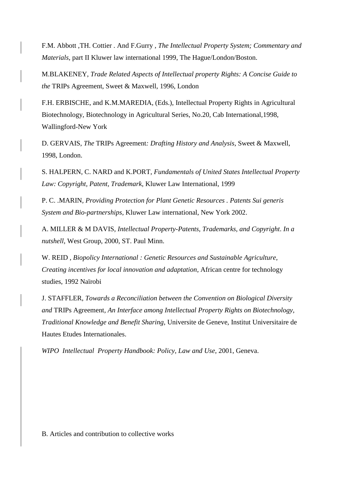F.M. Abbott ,TH. Cottier . And F.Gurry , *The Intellectual Property System; Commentary and Materials*, part II Kluwer law international 1999, The Hague/London/Boston.

M.BLAKENEY, *Trade Related Aspects of Intellectual property Rights: A Concise Guide to the* TRIPs Agreement, Sweet & Maxwell, 1996, London

F.H. ERBISCHE, and K.M.MAREDIA, (Eds.), Intellectual Property Rights in Agricultural Biotechnology, Biotechnology in Agricultural Series, No.20, Cab International,1998, Wallingford-New York

D. GERVAIS, *The* TRIPs Agreement*: Drafting History and Analysis*, Sweet & Maxwell, 1998, London.

S. HALPERN, C. NARD and K.PORT, *Fundamentals of United States Intellectual Property Law: Copyright, Patent, Trademark*, Kluwer Law International, 1999

P. C. .MARIN*, Providing Protection for Plant Genetic Resources . Patents Sui generis System and Bio-partnerships*, Kluwer Law international, New York 2002.

A. MILLER & M DAVIS, *Intellectual Property-Patents, Trademarks, and Copyright*. *In a nutshell*, West Group, 2000, ST. Paul Minn.

W. REID , *Biopolicy International : Genetic Resources and Sustainable Agriculture, Creating incentives for local innovation and adaptation*, African centre for technology studies, 1992 Naïrobi

J. STAFFLER, *Towards a Reconciliation between the Convention on Biological Diversity and* TRIPs Agreement*, An Interface among Intellectual Property Rights on Biotechnology, Traditional Knowledge and Benefit Sharing,* Universite de Geneve, Institut Universitaire de Hautes Etudes Internationales.

*WIPO Intellectual Property Handbook: Policy, Law and Use*, 2001, Geneva.

B. Articles and contribution to collective works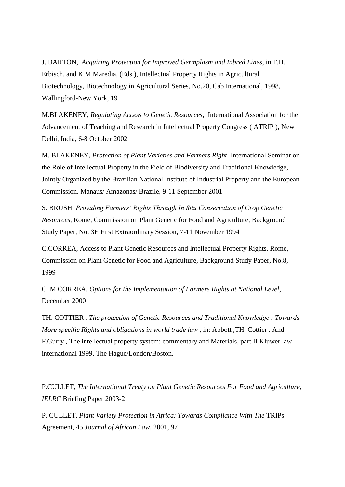J. BARTON, *Acquiring Protection for Improved Germplasm and Inbred Lines*, in:F.H. Erbisch, and K.M.Maredia, (Eds.), Intellectual Property Rights in Agricultural Biotechnology, Biotechnology in Agricultural Series, No.20, Cab International, 1998, Wallingford-New York, 19

M.BLAKENEY, *Regulating Access to Genetic Resources*, International Association for the Advancement of Teaching and Research in Intellectual Property Congress ( ATRIP ), New Delhi, India, 6-8 October 2002

M. BLAKENEY, *Protection of Plant Varieties and Farmers Right*. International Seminar on the Role of Intellectual Property in the Field of Biodiversity and Traditional Knowledge, Jointly Organized by the Brazilian National Institute of Industrial Property and the European Commission, Manaus/ Amazonas/ Brazile, 9-11 September 2001

S. BRUSH, *Providing Farmers' Rights Through In Situ Conservation of Crop Genetic Resources*, Rome, Commission on Plant Genetic for Food and Agriculture, Background Study Paper, No. 3E First Extraordinary Session, 7-11 November 1994

C.CORREA, Access to Plant Genetic Resources and Intellectual Property Rights. Rome, Commission on Plant Genetic for Food and Agriculture, Background Study Paper, No.8, 1999

C. M.CORREA*, Options for the Implementation of Farmers Rights at National Level*, December 2000

TH. COTTIER , *The protection of Genetic Resources and Traditional Knowledge : Towards More specific Rights and obligations in world trade law* , in: Abbott ,TH. Cottier . And F.Gurry , The intellectual property system; commentary and Materials, part II Kluwer law international 1999, The Hague/London/Boston.

P.CULLET, *The International Treaty on Plant Genetic Resources For Food and Agriculture*, *IELRC* Briefing Paper 2003-2

P. CULLET, *Plant Variety Protection in Africa: Towards Compliance With The* TRIPs Agreement*,* 45 *Journal of African Law,* 2001, 97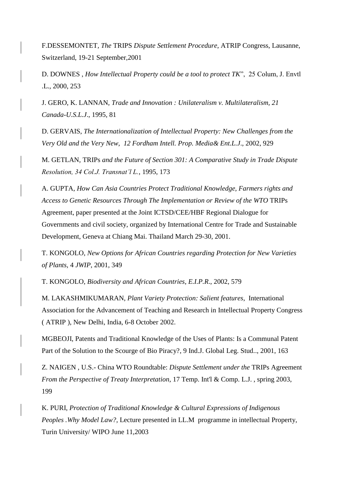F.DESSEMONTET*, The* TRIPS *Dispute Settlement Procedure*, ATRIP Congress, Lausanne, Switzerland, 19-21 September,2001

D. DOWNES , *How Intellectual Property could be a tool to protect TK*", 25 Colum, J. Envtl .L., 2000, 253

J. GERO, K. LANNAN, *Trade and Innovation : Unilateralism v. Multilateralism, 21 Canada-U.S.L.J*., 1995*,* 81

D. GERVAIS, *The Internationalization of Intellectual Property: New Challenges from the Very Old and the Very New*, *12 Fordham Intell. Prop. Media& Ent.L.J*., 2002, 929

M. GETLAN, TRIPs *and the Future of Section 301: A Comparative Study in Trade Dispute Resolution, 34 Col.J. Transnat'l L.*, 1995, 173

A. GUPTA, *How Can Asia Countries Protect Traditional Knowledge, Farmers rights and Access to Genetic Resources Through The Implementation or Review of the WTO* TRIPs Agreement, paper presented at the Joint ICTSD/CEE/HBF Regional Dialogue for Governments and civil society, organized by International Centre for Trade and Sustainable Development, Geneva at Chiang Mai. Thailand March 29-30, 2001.

T. KONGOLO, *New Options for African Countries regarding Protection for New Varieties of Plants,* 4 *JWIP*, 2001, 349

T. KONGOLO, *Biodiversity and African Countries*, *E.I.P.R*., 2002, 579

M. LAKASHMIKUMARAN, *Plant Variety Protection: Salient features*, International Association for the Advancement of Teaching and Research in Intellectual Property Congress ( ATRIP ), New Delhi, India, 6-8 October 2002.

MGBEOJI, Patents and Traditional Knowledge of the Uses of Plants: Is a Communal Patent Part of the Solution to the Scourge of Bio Piracy?, 9 Ind.J. Global Leg. Stud.., 2001, 163

Z. NAIGEN , U.S.- China WTO Roundtable: *Dispute Settlement under the* TRIPs Agreement *From the Perspective of Treaty Interpretation*, 17 Temp. Int'l & Comp. L.J. , spring 2003, 199

K. PURI, *Protection of Traditional Knowledge & Cultural Expressions of Indigenous Peoples .Why Model Law?*, Lecture presented in LL.M programme in intellectual Property, Turin University/ WIPO June 11,2003